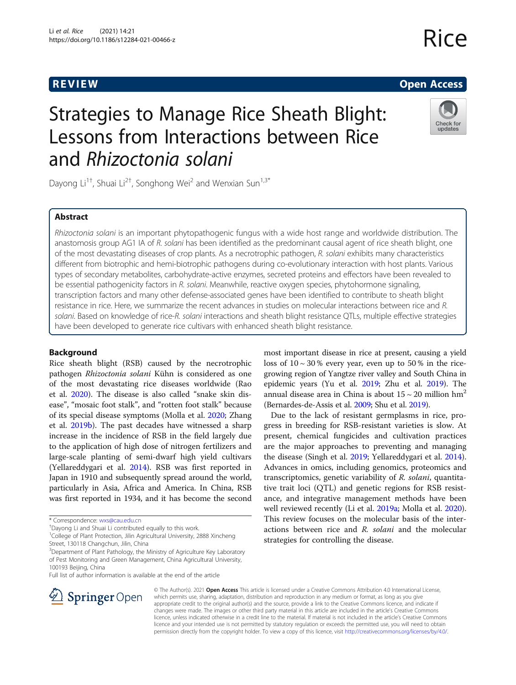# Rice

# R EVI EW Open Access

# Check for updates

# Strategies to Manage Rice Sheath Blight: Lessons from Interactions between Rice and Rhizoctonia solani

Dayong Li<sup>1†</sup>, Shuai Li<sup>2†</sup>, Songhong Wei<sup>2</sup> and Wenxian Sun<sup>1,3\*</sup>

# Abstract

Rhizoctonia solani is an important phytopathogenic fungus with a wide host range and worldwide distribution. The anastomosis group AG1 IA of R, solani has been identified as the predominant causal agent of rice sheath blight, one of the most devastating diseases of crop plants. As a necrotrophic pathogen, R. solani exhibits many characteristics different from biotrophic and hemi-biotrophic pathogens during co-evolutionary interaction with host plants. Various types of secondary metabolites, carbohydrate-active enzymes, secreted proteins and effectors have been revealed to be essential pathogenicity factors in R. solani. Meanwhile, reactive oxygen species, phytohormone signaling, transcription factors and many other defense-associated genes have been identified to contribute to sheath blight resistance in rice. Here, we summarize the recent advances in studies on molecular interactions between rice and R. solani. Based on knowledge of rice-R. solani interactions and sheath blight resistance QTLs, multiple effective strategies have been developed to generate rice cultivars with enhanced sheath blight resistance.

# Background

Rice sheath blight (RSB) caused by the necrotrophic pathogen Rhizoctonia solani Kühn is considered as one of the most devastating rice diseases worldwide (Rao et al. [2020\)](#page-12-0). The disease is also called "snake skin disease", "mosaic foot stalk", and "rotten foot stalk" because of its special disease symptoms (Molla et al. [2020](#page-12-0); Zhang et al. [2019b](#page-14-0)). The past decades have witnessed a sharp increase in the incidence of RSB in the field largely due to the application of high dose of nitrogen fertilizers and large-scale planting of semi-dwarf high yield cultivars (Yellareddygari et al. [2014](#page-13-0)). RSB was first reported in Japan in 1910 and subsequently spread around the world, particularly in Asia, Africa and America. In China, RSB was first reported in 1934, and it has become the second

Dayong Li and Shuai Li contributed equally to this work.

<sup>1</sup>College of Plant Protection, Jilin Agricultural University, 2888 Xincheng

<sup>3</sup>Department of Plant Pathology, the Ministry of Agriculture Key Laboratory of Pest Monitoring and Green Management, China Agricultural University, 100193 Beijing, China

Full list of author information is available at the end of the article



most important disease in rice at present, causing a yield loss of  $10 \sim 30$ % every year, even up to  $50$ % in the ricegrowing region of Yangtze river valley and South China in epidemic years (Yu et al. [2019](#page-13-0); Zhu et al. [2019](#page-14-0)). The annual disease area in China is about  $15 \sim 20$  million hm<sup>2</sup> (Bernardes-de-Assis et al. [2009](#page-10-0); Shu et al. [2019\)](#page-13-0).

Due to the lack of resistant germplasms in rice, progress in breeding for RSB-resistant varieties is slow. At present, chemical fungicides and cultivation practices are the major approaches to preventing and managing the disease (Singh et al. [2019](#page-13-0); Yellareddygari et al. [2014](#page-13-0)). Advances in omics, including genomics, proteomics and transcriptomics, genetic variability of R. solani, quantitative trait loci (QTL) and genetic regions for RSB resistance, and integrative management methods have been well reviewed recently (Li et al. [2019a](#page-12-0); Molla et al. [2020](#page-12-0)). This review focuses on the molecular basis of the interactions between rice and R. solani and the molecular strategies for controlling the disease.

© The Author(s). 2021 Open Access This article is licensed under a Creative Commons Attribution 4.0 International License, which permits use, sharing, adaptation, distribution and reproduction in any medium or format, as long as you give appropriate credit to the original author(s) and the source, provide a link to the Creative Commons licence, and indicate if changes were made. The images or other third party material in this article are included in the article's Creative Commons licence, unless indicated otherwise in a credit line to the material. If material is not included in the article's Creative Commons licence and your intended use is not permitted by statutory regulation or exceeds the permitted use, you will need to obtain permission directly from the copyright holder. To view a copy of this licence, visit <http://creativecommons.org/licenses/by/4.0/>.

<sup>\*</sup> Correspondence: [wxs@cau.edu.cn](mailto:wxs@cau.edu.cn) †

Street, 130118 Changchun, Jilin, China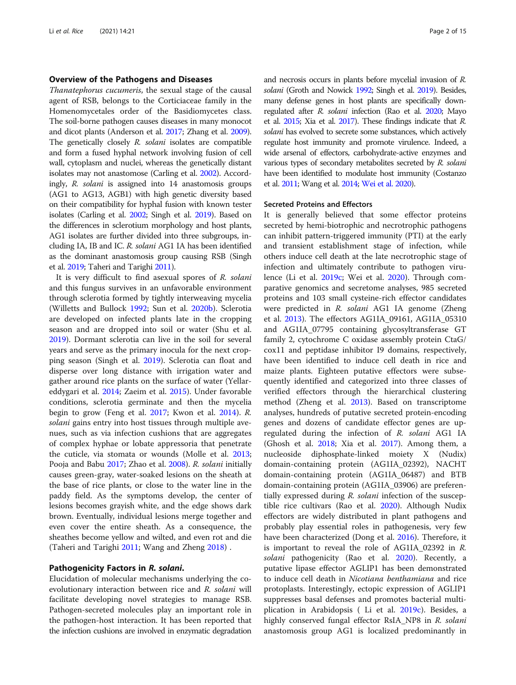# Overview of the Pathogens and Diseases

Thanatephorus cucumeris, the sexual stage of the causal agent of RSB, belongs to the Corticiaceae family in the Homenomycetales order of the Basidiomycetes class. The soil-borne pathogen causes diseases in many monocot and dicot plants (Anderson et al. [2017](#page-10-0); Zhang et al. [2009](#page-13-0)). The genetically closely R. solani isolates are compatible and form a fused hyphal network involving fusion of cell wall, cytoplasm and nuclei, whereas the genetically distant isolates may not anastomose (Carling et al. [2002\)](#page-10-0). Accordingly, R. solani is assigned into 14 anastomosis groups (AG1 to AG13, AGB1) with high genetic diversity based on their compatibility for hyphal fusion with known tester isolates (Carling et al. [2002](#page-10-0); Singh et al. [2019](#page-13-0)). Based on the differences in sclerotium morphology and host plants, AG1 isolates are further divided into three subgroups, including IA, IB and IC. R. solani AG1 IA has been identified as the dominant anastomosis group causing RSB (Singh et al. [2019;](#page-13-0) Taheri and Tarighi [2011\)](#page-13-0).

It is very difficult to find asexual spores of R. solani and this fungus survives in an unfavorable environment through sclerotia formed by tightly interweaving mycelia (Willetts and Bullock [1992;](#page-13-0) Sun et al. [2020b\)](#page-13-0). Sclerotia are developed on infected plants late in the cropping season and are dropped into soil or water (Shu et al. [2019](#page-13-0)). Dormant sclerotia can live in the soil for several years and serve as the primary inocula for the next cropping season (Singh et al. [2019](#page-13-0)). Sclerotia can float and disperse over long distance with irrigation water and gather around rice plants on the surface of water (Yellareddygari et al. [2014;](#page-13-0) Zaeim et al. [2015\)](#page-13-0). Under favorable conditions, sclerotia germinate and then the mycelia begin to grow (Feng et al. [2017;](#page-11-0) Kwon et al. [2014\)](#page-11-0). R. solani gains entry into host tissues through multiple avenues, such as via infection cushions that are aggregates of complex hyphae or lobate appressoria that penetrate the cuticle, via stomata or wounds (Molle et al. [2013](#page-12-0); Pooja and Babu [2017](#page-12-0); Zhao et al. [2008](#page-14-0)). R. solani initially causes green-gray, water-soaked lesions on the sheath at the base of rice plants, or close to the water line in the paddy field. As the symptoms develop, the center of lesions becomes grayish white, and the edge shows dark brown. Eventually, individual lesions merge together and even cover the entire sheath. As a consequence, the sheathes become yellow and wilted, and even rot and die (Taheri and Tarighi [2011;](#page-13-0) Wang and Zheng [2018\)](#page-13-0) .

### Pathogenicity Factors in R. solani.

Elucidation of molecular mechanisms underlying the coevolutionary interaction between rice and R. solani will facilitate developing novel strategies to manage RSB. Pathogen-secreted molecules play an important role in the pathogen-host interaction. It has been reported that the infection cushions are involved in enzymatic degradation and necrosis occurs in plants before mycelial invasion of R. solani (Groth and Nowick [1992](#page-11-0); Singh et al. [2019](#page-13-0)). Besides, many defense genes in host plants are specifically down-regulated after R. solani infection (Rao et al. [2020;](#page-12-0) Mayo et al. [2015;](#page-12-0) Xia et al. [2017](#page-13-0)). These findings indicate that R. solani has evolved to secrete some substances, which actively regulate host immunity and promote virulence. Indeed, a wide arsenal of effectors, carbohydrate-active enzymes and various types of secondary metabolites secreted by R. solani have been identified to modulate host immunity (Costanzo et al. [2011;](#page-11-0) Wang et al. [2014;](#page-13-0) [Wei et al. 2020\)](#page-13-0).

## Secreted Proteins and Effectors

It is generally believed that some effector proteins secreted by hemi-biotrophic and necrotrophic pathogens can inhibit pattern-triggered immunity (PTI) at the early and transient establishment stage of infection, while others induce cell death at the late necrotrophic stage of infection and ultimately contribute to pathogen virulence (Li et al. [2019c;](#page-12-0) Wei et al. [2020](#page-13-0)). Through comparative genomics and secretome analyses, 985 secreted proteins and 103 small cysteine-rich effector candidates were predicted in R. solani AG1 IA genome (Zheng et al. [2013](#page-14-0)). The effectors AG1IA\_09161, AG1IA\_05310 and AG1IA\_07795 containing glycosyltransferase GT family 2, cytochrome C oxidase assembly protein CtaG/ cox11 and peptidase inhibitor I9 domains, respectively, have been identified to induce cell death in rice and maize plants. Eighteen putative effectors were subsequently identified and categorized into three classes of verified effectors through the hierarchical clustering method (Zheng et al. [2013\)](#page-14-0). Based on transcriptome analyses, hundreds of putative secreted protein-encoding genes and dozens of candidate effector genes are upregulated during the infection of R. solani AG1 IA (Ghosh et al. [2018;](#page-11-0) Xia et al. [2017\)](#page-13-0). Among them, a nucleoside diphosphate-linked moiety X (Nudix) domain-containing protein (AG1IA\_02392), NACHT domain-containing protein (AG1IA\_06487) and BTB domain-containing protein (AG1IA\_03906) are preferentially expressed during R. solani infection of the susceptible rice cultivars (Rao et al. [2020\)](#page-12-0). Although Nudix effectors are widely distributed in plant pathogens and probably play essential roles in pathogenesis, very few have been characterized (Dong et al. [2016](#page-11-0)). Therefore, it is important to reveal the role of AG1IA\_02392 in R. solani pathogenicity (Rao et al. [2020\)](#page-12-0). Recently, a putative lipase effector AGLIP1 has been demonstrated to induce cell death in Nicotiana benthamiana and rice protoplasts. Interestingly, ectopic expression of AGLIP1 suppresses basal defenses and promotes bacterial multiplication in Arabidopsis ( Li et al. [2019c](#page-12-0)). Besides, a highly conserved fungal effector RsIA\_NP8 in R. solani anastomosis group AG1 is localized predominantly in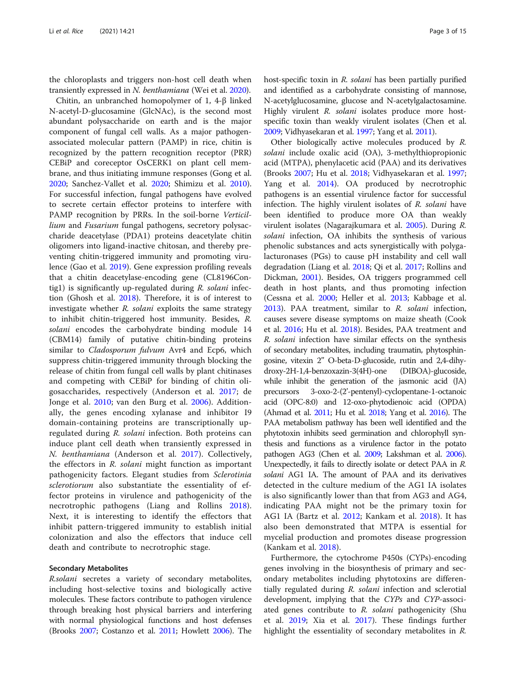the chloroplasts and triggers non-host cell death when transiently expressed in N. benthamiana (Wei et al. [2020](#page-13-0)).

Chitin, an unbranched homopolymer of 1, 4-β linked N-acetyl-D-glucosamine (GlcNAc), is the second most abundant polysaccharide on earth and is the major component of fungal cell walls. As a major pathogenassociated molecular pattern (PAMP) in rice, chitin is recognized by the pattern recognition receptor (PRR) CEBiP and coreceptor OsCERK1 on plant cell membrane, and thus initiating immune responses (Gong et al. [2020](#page-11-0); Sanchez-Vallet et al. [2020](#page-12-0); Shimizu et al. [2010](#page-12-0)). For successful infection, fungal pathogens have evolved to secrete certain effector proteins to interfere with PAMP recognition by PRRs. In the soil-borne Verticillium and Fusarium fungal pathogens, secretory polysaccharide deacetylase (PDA1) proteins deacetylate chitin oligomers into ligand-inactive chitosan, and thereby preventing chitin-triggered immunity and promoting virulence (Gao et al. [2019](#page-11-0)). Gene expression profiling reveals that a chitin deacetylase-encoding gene (CL8196Contig1) is significantly up-regulated during R. solani infection (Ghosh et al. [2018](#page-11-0)). Therefore, it is of interest to investigate whether  $R$ . solani exploits the same strategy to inhibit chitin-triggered host immunity. Besides, R. solani encodes the carbohydrate binding module 14 (CBM14) family of putative chitin-binding proteins similar to *Cladosporum fulvum* Avr4 and Ecp6, which suppress chitin-triggered immunity through blocking the release of chitin from fungal cell walls by plant chitinases and competing with CEBiP for binding of chitin oligosaccharides, respectively (Anderson et al. [2017](#page-10-0); de Jonge et al. [2010;](#page-11-0) van den Burg et al. [2006\)](#page-13-0). Additionally, the genes encoding xylanase and inhibitor I9 domain-containing proteins are transcriptionally upregulated during R. solani infection. Both proteins can induce plant cell death when transiently expressed in N. benthamiana (Anderson et al. [2017](#page-10-0)). Collectively, the effectors in R. solani might function as important pathogenicity factors. Elegant studies from Sclerotinia sclerotiorum also substantiate the essentiality of effector proteins in virulence and pathogenicity of the necrotrophic pathogens (Liang and Rollins [2018](#page-12-0)). Next, it is interesting to identify the effectors that inhibit pattern-triggered immunity to establish initial colonization and also the effectors that induce cell death and contribute to necrotrophic stage.

# Secondary Metabolites

R.solani secretes a variety of secondary metabolites, including host-selective toxins and biologically active molecules. These factors contribute to pathogen virulence through breaking host physical barriers and interfering with normal physiological functions and host defenses (Brooks [2007](#page-10-0); Costanzo et al. [2011](#page-11-0); Howlett [2006](#page-11-0)). The host-specific toxin in R. solani has been partially purified and identified as a carbohydrate consisting of mannose, N-acetylglucosamine, glucose and N-acetylgalactosamine. Highly virulent R. solani isolates produce more hostspecific toxin than weakly virulent isolates (Chen et al. [2009;](#page-11-0) Vidhyasekaran et al. [1997;](#page-13-0) Yang et al. [2011](#page-13-0)).

Other biologically active molecules produced by R. solani include oxalic acid (OA), 3-methylthiopropionic acid (MTPA), phenylacetic acid (PAA) and its derivatives (Brooks [2007](#page-10-0); Hu et al. [2018;](#page-11-0) Vidhyasekaran et al. [1997](#page-13-0); Yang et al. [2014\)](#page-13-0). OA produced by necrotrophic pathogens is an essential virulence factor for successful infection. The highly virulent isolates of R. solani have been identified to produce more OA than weakly virulent isolates (Nagarajkumara et al. [2005](#page-12-0)). During R. solani infection, OA inhibits the synthesis of various phenolic substances and acts synergistically with polygalacturonases (PGs) to cause pH instability and cell wall degradation (Liang et al. [2018;](#page-12-0) Qi et al. [2017](#page-12-0); Rollins and Dickman, [2001\)](#page-12-0). Besides, OA triggers programmed cell death in host plants, and thus promoting infection (Cessna et al. [2000](#page-10-0); Heller et al. [2013](#page-11-0); Kabbage et al. [2013](#page-11-0)). PAA treatment, similar to R. solani infection, causes severe disease symptoms on maize sheath (Cook et al. [2016;](#page-11-0) Hu et al. [2018\)](#page-11-0). Besides, PAA treatment and R. solani infection have similar effects on the synthesis of secondary metabolites, including traumatin, phytosphingosine, vitexin 2'' O-beta-D-glucoside, rutin and 2,4-dihydroxy-2H-1,4-benzoxazin-3(4H)-one (DIBOA)-glucoside, while inhibit the generation of the jasmonic acid (JA) precursors 3-oxo-2-(2'-pentenyl)-cyclopentane-1-octanoic acid (OPC-8:0) and 12-oxo-phytodienoic acid (OPDA) (Ahmad et al. [2011](#page-10-0); Hu et al. [2018](#page-11-0); Yang et al. [2016](#page-13-0)). The PAA metabolism pathway has been well identified and the phytotoxin inhibits seed germination and chlorophyll synthesis and functions as a virulence factor in the potato pathogen AG3 (Chen et al. [2009](#page-11-0); Lakshman et al. [2006](#page-12-0)). Unexpectedly, it fails to directly isolate or detect PAA in R. solani AG1 IA. The amount of PAA and its derivatives detected in the culture medium of the AG1 IA isolates is also significantly lower than that from AG3 and AG4, indicating PAA might not be the primary toxin for AG1 IA (Bartz et al. [2012;](#page-10-0) Kankam et al. [2018](#page-11-0)). It has also been demonstrated that MTPA is essential for mycelial production and promotes disease progression (Kankam et al. [2018](#page-11-0)).

Furthermore, the cytochrome P450s (CYPs)-encoding genes involving in the biosynthesis of primary and secondary metabolites including phytotoxins are differentially regulated during R. solani infection and sclerotial development, implying that the CYPs and CYP-associated genes contribute to  $R$ . solani pathogenicity (Shu et al. [2019](#page-13-0); Xia et al. [2017\)](#page-13-0). These findings further highlight the essentiality of secondary metabolites in R.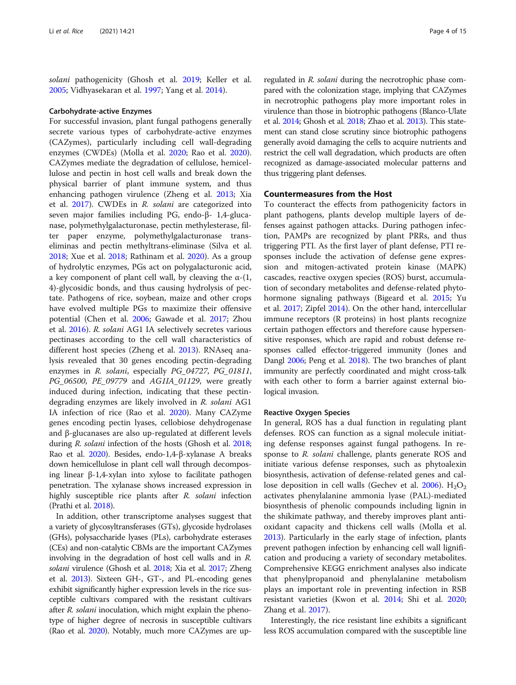solani pathogenicity (Ghosh et al. [2019](#page-11-0); Keller et al. [2005](#page-11-0); Vidhyasekaran et al. [1997](#page-13-0); Yang et al. [2014](#page-13-0)).

#### Carbohydrate‐active Enzymes

For successful invasion, plant fungal pathogens generally secrete various types of carbohydrate-active enzymes (CAZymes), particularly including cell wall-degrading enzymes (CWDEs) (Molla et al. [2020;](#page-12-0) Rao et al. [2020](#page-12-0)). CAZymes mediate the degradation of cellulose, hemicellulose and pectin in host cell walls and break down the physical barrier of plant immune system, and thus enhancing pathogen virulence (Zheng et al. [2013;](#page-14-0) Xia et al. [2017\)](#page-13-0). CWDEs in R. solani are categorized into seven major families including PG, endo-β- 1,4-glucanase, polymethylgalacturonase, pectin methylesterase, filter paper enzyme, polymethylgalacturonase transeliminas and pectin methyltrans-eliminase (Silva et al. [2018](#page-13-0); Xue et al. [2018;](#page-13-0) Rathinam et al. [2020](#page-12-0)). As a group of hydrolytic enzymes, PGs act on polygalacturonic acid, a key component of plant cell wall, by cleaving the  $\alpha$ -(1, 4)-glycosidic bonds, and thus causing hydrolysis of pectate. Pathogens of rice, soybean, maize and other crops have evolved multiple PGs to maximize their offensive potential (Chen et al. [2006](#page-11-0); Gawade et al. [2017;](#page-11-0) Zhou et al. [2016](#page-14-0)). R. solani AG1 IA selectively secretes various pectinases according to the cell wall characteristics of different host species (Zheng et al. [2013\)](#page-14-0). RNAseq analysis revealed that 30 genes encoding pectin-degrading enzymes in R. solani, especially PG\_04727, PG\_01811, PG\_06500, PE\_09779 and AG1IA\_01129, were greatly induced during infection, indicating that these pectindegrading enzymes are likely involved in R. solani AG1 IA infection of rice (Rao et al. [2020](#page-12-0)). Many CAZyme genes encoding pectin lyases, cellobiose dehydrogenase and β-glucanases are also up-regulated at different levels during R. solani infection of the hosts (Ghosh et al. [2018](#page-11-0); Rao et al. [2020\)](#page-12-0). Besides, endo-1,4-β-xylanase A breaks down hemicellulose in plant cell wall through decomposing linear β-1,4-xylan into xylose to facilitate pathogen penetration. The xylanase shows increased expression in highly susceptible rice plants after R. solani infection (Prathi et al. [2018](#page-12-0)).

In addition, other transcriptome analyses suggest that a variety of glycosyltransferases (GTs), glycoside hydrolases (GHs), polysaccharide lyases (PLs), carbohydrate esterases (CEs) and non-catalytic CBMs are the important CAZymes involving in the degradation of host cell walls and in R. solani virulence (Ghosh et al. [2018](#page-11-0); Xia et al. [2017;](#page-13-0) Zheng et al. [2013](#page-14-0)). Sixteen GH-, GT-, and PL-encoding genes exhibit significantly higher expression levels in the rice susceptible cultivars compared with the resistant cultivars after *R. solani* inoculation, which might explain the phenotype of higher degree of necrosis in susceptible cultivars (Rao et al. [2020](#page-12-0)). Notably, much more CAZymes are up-

regulated in R. solani during the necrotrophic phase compared with the colonization stage, implying that CAZymes in necrotrophic pathogens play more important roles in virulence than those in biotrophic pathogens (Blanco-Ulate et al. [2014](#page-10-0); Ghosh et al. [2018;](#page-11-0) Zhao et al. [2013\)](#page-14-0). This statement can stand close scrutiny since biotrophic pathogens generally avoid damaging the cells to acquire nutrients and restrict the cell wall degradation, which products are often recognized as damage-associated molecular patterns and thus triggering plant defenses.

# Countermeasures from the Host

To counteract the effects from pathogenicity factors in plant pathogens, plants develop multiple layers of defenses against pathogen attacks. During pathogen infection, PAMPs are recognized by plant PRRs, and thus triggering PTI. As the first layer of plant defense, PTI responses include the activation of defense gene expression and mitogen-activated protein kinase (MAPK) cascades, reactive oxygen species (ROS) burst, accumulation of secondary metabolites and defense-related phytohormone signaling pathways (Bigeard et al. [2015](#page-10-0); Yu et al. [2017](#page-13-0); Zipfel [2014\)](#page-14-0). On the other hand, intercellular immune receptors (R proteins) in host plants recognize certain pathogen effectors and therefore cause hypersensitive responses, which are rapid and robust defense responses called effector-triggered immunity (Jones and Dangl [2006](#page-11-0); Peng et al. [2018\)](#page-12-0). The two branches of plant immunity are perfectly coordinated and might cross-talk with each other to form a barrier against external biological invasion.

#### Reactive Oxygen Species

In general, ROS has a dual function in regulating plant defenses. ROS can function as a signal molecule initiating defense responses against fungal pathogens. In response to R. solani challenge, plants generate ROS and initiate various defense responses, such as phytoalexin biosynthesis, activation of defense-related genes and callose deposition in cell walls (Gechev et al.  $2006$ ).  $H<sub>2</sub>O<sub>2</sub>$ activates phenylalanine ammonia lyase (PAL)-mediated biosynthesis of phenolic compounds including lignin in the shikimate pathway, and thereby improves plant antioxidant capacity and thickens cell walls (Molla et al. [2013](#page-12-0)). Particularly in the early stage of infection, plants prevent pathogen infection by enhancing cell wall lignification and producing a variety of secondary metabolites. Comprehensive KEGG enrichment analyses also indicate that phenylpropanoid and phenylalanine metabolism plays an important role in preventing infection in RSB resistant varieties (Kwon et al. [2014](#page-11-0); Shi et al. [2020](#page-12-0); Zhang et al. [2017\)](#page-13-0).

Interestingly, the rice resistant line exhibits a significant less ROS accumulation compared with the susceptible line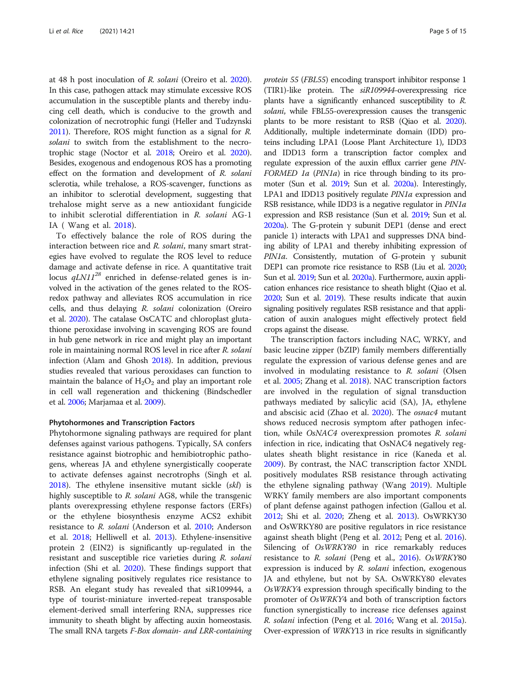at 48 h post inoculation of R. solani (Oreiro et al. [2020](#page-12-0)). In this case, pathogen attack may stimulate excessive ROS accumulation in the susceptible plants and thereby inducing cell death, which is conducive to the growth and colonization of necrotrophic fungi (Heller and Tudzynski [2011\)](#page-11-0). Therefore, ROS might function as a signal for R. solani to switch from the establishment to the necrotrophic stage (Noctor et al. [2018;](#page-12-0) Oreiro et al. [2020](#page-12-0)). Besides, exogenous and endogenous ROS has a promoting effect on the formation and development of R. solani sclerotia, while trehalose, a ROS-scavenger, functions as an inhibitor to sclerotial development, suggesting that trehalose might serve as a new antioxidant fungicide to inhibit sclerotial differentiation in R. solani AG-1 IA ( Wang et al. [2018\)](#page-13-0).

To effectively balance the role of ROS during the interaction between rice and R. solani, many smart strategies have evolved to regulate the ROS level to reduce damage and activate defense in rice. A quantitative trait locus  $qLNI1^{28}$  enriched in defense-related genes is involved in the activation of the genes related to the ROSredox pathway and alleviates ROS accumulation in rice cells, and thus delaying R. solani colonization (Oreiro et al. [2020\)](#page-12-0). The catalase OsCATC and chloroplast glutathione peroxidase involving in scavenging ROS are found in hub gene network in rice and might play an important role in maintaining normal ROS level in rice after R. solani infection (Alam and Ghosh [2018\)](#page-10-0). In addition, previous studies revealed that various peroxidases can function to maintain the balance of  $H_2O_2$  and play an important role in cell wall regeneration and thickening (Bindschedler et al. [2006](#page-10-0); Marjamaa et al. [2009\)](#page-12-0).

### Phytohormones and Transcription Factors

Phytohormone signaling pathways are required for plant defenses against various pathogens. Typically, SA confers resistance against biotrophic and hemibiotrophic pathogens, whereas JA and ethylene synergistically cooperate to activate defenses against necrotrophs (Singh et al. [2018](#page-13-0)). The ethylene insensitive mutant sickle (skl) is highly susceptible to R. solani AG8, while the transgenic plants overexpressing ethylene response factors (ERFs) or the ethylene biosynthesis enzyme ACS2 exhibit resistance to R. solani (Anderson et al. [2010](#page-10-0); Anderson et al. [2018](#page-10-0); Helliwell et al. [2013\)](#page-11-0). Ethylene-insensitive protein 2 (EIN2) is significantly up-regulated in the resistant and susceptible rice varieties during R. solani infection (Shi et al. [2020\)](#page-12-0). These findings support that ethylene signaling positively regulates rice resistance to RSB. An elegant study has revealed that siR109944, a type of tourist-miniature inverted-repeat transposable element-derived small interfering RNA, suppresses rice immunity to sheath blight by affecting auxin homeostasis. The small RNA targets F-Box domain- and LRR-containing protein 55 (FBL55) encoding transport inhibitor response 1 (TIR1)-like protein. The siR109944-overexpressing rice plants have a significantly enhanced susceptibility to R. solani, while FBL55-overexpression causes the transgenic plants to be more resistant to RSB (Qiao et al. [2020](#page-12-0)). Additionally, multiple indeterminate domain (IDD) proteins including LPA1 (Loose Plant Architecture 1), IDD3 and IDD13 form a transcription factor complex and regulate expression of the auxin efflux carrier gene PIN-FORMED 1a (PIN1a) in rice through binding to its promoter (Sun et al. [2019;](#page-13-0) Sun et al. [2020a\)](#page-13-0). Interestingly, LPA1 and IDD13 positively regulate PIN1a expression and RSB resistance, while IDD3 is a negative regulator in *PIN1a* expression and RSB resistance (Sun et al. [2019](#page-13-0); Sun et al. [2020a\)](#page-13-0). The G-protein  $γ$  subunit DEP1 (dense and erect panicle 1) interacts with LPA1 and suppresses DNA binding ability of LPA1 and thereby inhibiting expression of PIN1a. Consistently, mutation of G-protein γ subunit DEP1 can promote rice resistance to RSB (Liu et al. [2020](#page-12-0); Sun et al. [2019;](#page-13-0) Sun et al. [2020a](#page-13-0)). Furthermore, auxin application enhances rice resistance to sheath blight (Qiao et al. [2020;](#page-12-0) Sun et al. [2019\)](#page-13-0). These results indicate that auxin signaling positively regulates RSB resistance and that application of auxin analogues might effectively protect field crops against the disease.

The transcription factors including NAC, WRKY, and basic leucine zipper (bZIP) family members differentially regulate the expression of various defense genes and are involved in modulating resistance to R. solani (Olsen et al. [2005;](#page-12-0) Zhang et al. [2018](#page-13-0)). NAC transcription factors are involved in the regulation of signal transduction pathways mediated by salicylic acid (SA), JA, ethylene and abscisic acid (Zhao et al. [2020](#page-14-0)). The osnac4 mutant shows reduced necrosis symptom after pathogen infection, while OsNAC4 overexpression promotes R. solani infection in rice, indicating that OsNAC4 negatively regulates sheath blight resistance in rice (Kaneda et al. [2009](#page-11-0)). By contrast, the NAC transcription factor XNDL positively modulates RSB resistance through activating the ethylene signaling pathway (Wang [2019](#page-13-0)). Multiple WRKY family members are also important components of plant defense against pathogen infection (Gallou et al. [2012](#page-11-0); Shi et al. [2020;](#page-12-0) Zheng et al. [2013\)](#page-14-0). OsWRKY30 and OsWRKY80 are positive regulators in rice resistance against sheath blight (Peng et al. [2012;](#page-12-0) Peng et al. [2016](#page-12-0)). Silencing of OsWRKY80 in rice remarkably reduces resistance to R. solani (Peng et al., [2016\)](#page-12-0). OsWRKY80 expression is induced by R. solani infection, exogenous JA and ethylene, but not by SA. OsWRKY80 elevates OsWRKY4 expression through specifically binding to the promoter of OsWRKY4 and both of transcription factors function synergistically to increase rice defenses against R. solani infection (Peng et al. [2016](#page-12-0); Wang et al. [2015a](#page-13-0)). Over-expression of WRKY13 in rice results in significantly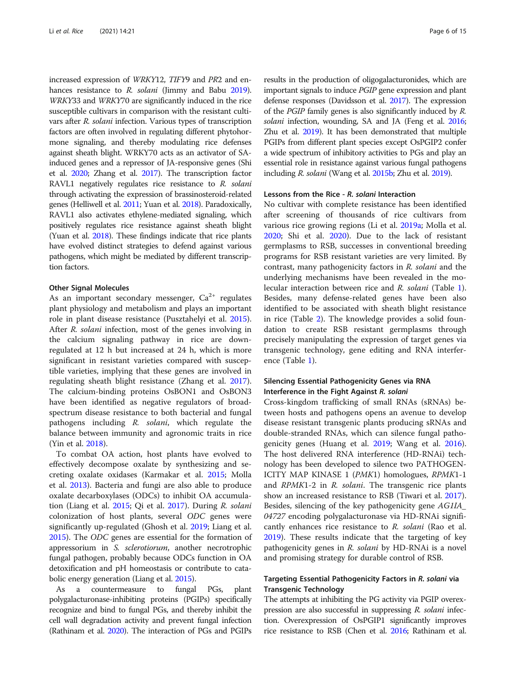increased expression of WRKY12, TIFY9 and PR2 and en-hances resistance to R. solani (Jimmy and Babu [2019](#page-11-0)). WRKY33 and WRKY70 are significantly induced in the rice susceptible cultivars in comparison with the resistant cultivars after R. solani infection. Various types of transcription factors are often involved in regulating different phytohormone signaling, and thereby modulating rice defenses against sheath blight. WRKY70 acts as an activator of SAinduced genes and a repressor of JA-responsive genes (Shi et al. [2020](#page-12-0); Zhang et al. [2017](#page-13-0)). The transcription factor RAVL1 negatively regulates rice resistance to R. solani through activating the expression of brassinosteroid-related genes (Helliwell et al. [2011](#page-11-0); Yuan et al. [2018](#page-13-0)). Paradoxically, RAVL1 also activates ethylene-mediated signaling, which positively regulates rice resistance against sheath blight (Yuan et al. [2018\)](#page-13-0). These findings indicate that rice plants have evolved distinct strategies to defend against various pathogens, which might be mediated by different transcription factors.

# Other Signal Molecules

As an important secondary messenger,  $Ca^{2+}$  regulates plant physiology and metabolism and plays an important role in plant disease resistance (Pusztahelyi et al. [2015](#page-12-0)). After R. solani infection, most of the genes involving in the calcium signaling pathway in rice are downregulated at 12 h but increased at 24 h, which is more significant in resistant varieties compared with susceptible varieties, implying that these genes are involved in regulating sheath blight resistance (Zhang et al. [2017](#page-13-0)). The calcium-binding proteins OsBON1 and OsBON3 have been identified as negative regulators of broadspectrum disease resistance to both bacterial and fungal pathogens including R. solani, which regulate the balance between immunity and agronomic traits in rice (Yin et al. [2018](#page-13-0)).

To combat OA action, host plants have evolved to effectively decompose oxalate by synthesizing and secreting oxalate oxidases (Karmakar et al. [2015](#page-11-0); Molla et al. [2013](#page-12-0)). Bacteria and fungi are also able to produce oxalate decarboxylases (ODCs) to inhibit OA accumulation (Liang et al. [2015;](#page-12-0) Qi et al. [2017](#page-12-0)). During R. solani colonization of host plants, several ODC genes were significantly up-regulated (Ghosh et al. [2019;](#page-11-0) Liang et al. [2015](#page-12-0)). The ODC genes are essential for the formation of appressorium in S. sclerotiorum, another necrotrophic fungal pathogen, probably because ODCs function in OA detoxification and pH homeostasis or contribute to catabolic energy generation (Liang et al. [2015](#page-12-0)).

As a countermeasure to fungal PGs, plant polygalacturonase-inhibiting proteins (PGIPs) specifically recognize and bind to fungal PGs, and thereby inhibit the cell wall degradation activity and prevent fungal infection (Rathinam et al. [2020](#page-12-0)). The interaction of PGs and PGIPs results in the production of oligogalacturonides, which are important signals to induce PGIP gene expression and plant defense responses (Davidsson et al. [2017\)](#page-11-0). The expression of the PGIP family genes is also significantly induced by R. solani infection, wounding, SA and JA (Feng et al. [2016](#page-11-0); Zhu et al. [2019](#page-14-0)). It has been demonstrated that multiple PGIPs from different plant species except OsPGIP2 confer a wide spectrum of inhibitory activities to PGs and play an essential role in resistance against various fungal pathogens including R. solani (Wang et al. [2015b;](#page-13-0) Zhu et al. [2019](#page-14-0)).

# Lessons from the Rice - R. solani Interaction

No cultivar with complete resistance has been identified after screening of thousands of rice cultivars from various rice growing regions (Li et al. [2019a](#page-12-0); Molla et al. [2020](#page-12-0); Shi et al. [2020](#page-12-0)). Due to the lack of resistant germplasms to RSB, successes in conventional breeding programs for RSB resistant varieties are very limited. By contrast, many pathogenicity factors in R. solani and the underlying mechanisms have been revealed in the molecular interaction between rice and R. solani (Table [1](#page-6-0)). Besides, many defense-related genes have been also identified to be associated with sheath blight resistance in rice (Table [2](#page-7-0)). The knowledge provides a solid foundation to create RSB resistant germplasms through precisely manipulating the expression of target genes via transgenic technology, gene editing and RNA interference (Table [1](#page-6-0)).

# Silencing Essential Pathogenicity Genes via RNA Interference in the Fight Against R. solani

Cross-kingdom trafficking of small RNAs (sRNAs) between hosts and pathogens opens an avenue to develop disease resistant transgenic plants producing sRNAs and double-stranded RNAs, which can silence fungal pathogenicity genes (Huang et al. [2019;](#page-11-0) Wang et al. [2016](#page-13-0)). The host delivered RNA interference (HD-RNAi) technology has been developed to silence two PATHOGEN-ICITY MAP KINASE 1 (PMK1) homologues, RPMK1-1 and RPMK1-2 in R. solani. The transgenic rice plants show an increased resistance to RSB (Tiwari et al. [2017](#page-13-0)). Besides, silencing of the key pathogenicity gene AG1IA\_ 04727 encoding polygalacturonase via HD-RNAi significantly enhances rice resistance to R. solani (Rao et al. [2019](#page-12-0)). These results indicate that the targeting of key pathogenicity genes in R. solani by HD-RNAi is a novel and promising strategy for durable control of RSB.

# Targeting Essential Pathogenicity Factors in R. solani via Transgenic Technology

The attempts at inhibiting the PG activity via PGIP overexpression are also successful in suppressing R. solani infection. Overexpression of OsPGIP1 significantly improves rice resistance to RSB (Chen et al. [2016;](#page-11-0) Rathinam et al.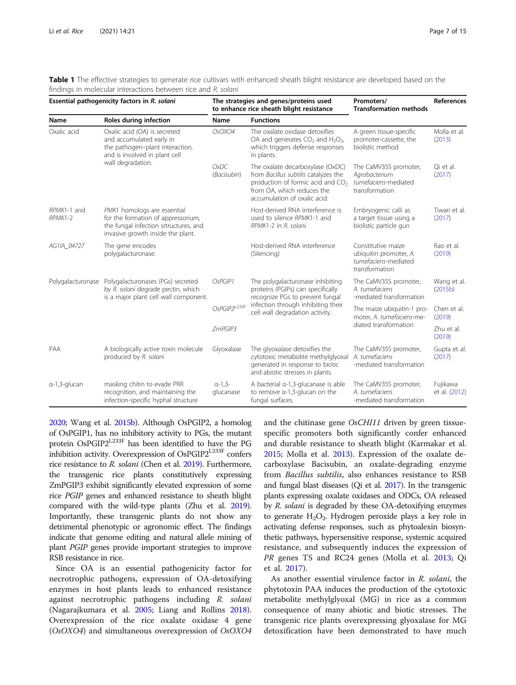<span id="page-6-0"></span>

| Table 1 The effective strategies to generate rice cultivars with enhanced sheath blight resistance are developed based on the |  |  |  |
|-------------------------------------------------------------------------------------------------------------------------------|--|--|--|
| findings in molecular interactions between rice and R, solani                                                                 |  |  |  |

| Essential pathogenicity factors in R. solani |                                                                                                                                                   | The strategies and genes/proteins used<br>to enhance rice sheath blight resistance                                  |                                                                                                                                                                                         | Promoters/<br><b>Transformation methods</b>                                            | References                |
|----------------------------------------------|---------------------------------------------------------------------------------------------------------------------------------------------------|---------------------------------------------------------------------------------------------------------------------|-----------------------------------------------------------------------------------------------------------------------------------------------------------------------------------------|----------------------------------------------------------------------------------------|---------------------------|
| Name                                         | Roles during infection                                                                                                                            | Name                                                                                                                | <b>Functions</b>                                                                                                                                                                        |                                                                                        |                           |
| Oxalic acid                                  | Oxalic acid (OA) is secreted<br>and accumulated early in<br>the pathogen-plant interaction,<br>and is involved in plant cell<br>wall degradation. | OsOXO4                                                                                                              | The oxalate oxidase detoxifies<br>OA and generates $CO2$ and $H2O2$ ,<br>which triggers defense responses<br>in plants.                                                                 | A green tissue-specific<br>promoter-cassette, the<br>biolistic method                  | Molla et al.<br>(2013)    |
|                                              |                                                                                                                                                   | OxDC<br>(Bacisubin)                                                                                                 | The oxalate decarboxylase (OxDC)<br>from Bacillus subtilis catalyzes the<br>production of formic acid and CO <sub>2</sub><br>from OA, which reduces the<br>accumulation of oxalic acid. | The CaMV35S promoter,<br>Agrobacterium<br>tumefaciens-mediated<br>transformation       | Oi et al.<br>(2017)       |
| RPMK1-1 and<br>RPMK1-2                       | PMK1 homologs are essential<br>for the formation of appressorium,<br>the fungal infection srtructures, and<br>invasive growth inside the plant.   |                                                                                                                     | Host-derived RNA interference is<br>used to silence RPMK1-1 and<br>RPMK1-2 in R. solani.                                                                                                | Embryogenic calli as<br>a target tissue using a<br>biolistic particle gun              | Tiwari et al.<br>(2017)   |
| AG1IA_04727                                  | The gene encodes<br>polygalacturonase.                                                                                                            |                                                                                                                     | Host-derived RNA interference<br>(Silencing)                                                                                                                                            | Constitutive maize<br>ubiquitin promoter, A.<br>tumefaciens-mediated<br>transformation | Rao et al.<br>(2019)      |
| Polygalacturonase                            | Polygalacturonases (PGs) secreted<br>by R. solani degrade pectin, which<br>is a major plant cell wall component.                                  | OsPGIP1<br>The polygalacturonase inhibiting<br>proteins (PGIPs) can specifically<br>recognize PGs to prevent fungal |                                                                                                                                                                                         | The CaMV35S promoter,<br>A. tumefaciens<br>-mediated transformation                    | Wang et al.<br>(2015b)    |
|                                              |                                                                                                                                                   | OsPGIP2L233F                                                                                                        | infection through inhibiting their<br>cell wall degradation activity.                                                                                                                   | The maize ubiquitin-1 pro-<br>moter. A. tumefaciens-me-                                | Chen et al.<br>(2019)     |
|                                              |                                                                                                                                                   | ZmPGIP3                                                                                                             |                                                                                                                                                                                         | diated transformation                                                                  | Zhu et al.<br>(2019)      |
| PAA                                          | A biologically active toxin molecule<br>produced by R. solani                                                                                     | Glyoxalase                                                                                                          | The glyoxalase detoxifies the<br>cytotoxic metabolite methylglyoxal<br>generated in response to biotic<br>and abiotic stresses in plants.                                               | The CaMV35S promoter,<br>A. tumefaciens<br>-mediated transformation                    | Gupta et al.<br>(2017)    |
| a-1,3-glucan                                 | masking chitin to evade PRR<br>recognition, and maintaining the<br>infection-specific hyphal structure                                            | $a-1,3-$<br>glucanase                                                                                               | A bacterial $\alpha$ -1,3-glucanase is able<br>to remove $\alpha$ -1,3-glucan on the<br>fungal surfaces.                                                                                | The CaMV35S promoter,<br>A. tumefaciens<br>-mediated transformation                    | Fujikawa<br>et al. (2012) |

[2020;](#page-12-0) Wang et al. [2015b\)](#page-13-0). Although OsPGIP2, a homolog of OsPGIP1, has no inhibitory activity to PGs, the mutant protein OsPGIP2L233F has been identified to have the PG inhibition activity. Overexpression of OsPGIP2<sup>L233F</sup> confers rice resistance to R. solani (Chen et al. [2019](#page-11-0)). Furthermore, the transgenic rice plants constitutively expressing ZmPGIP3 exhibit significantly elevated expression of some rice PGIP genes and enhanced resistance to sheath blight compared with the wild-type plants (Zhu et al. [2019](#page-14-0)). Importantly, these transgenic plants do not show any detrimental phenotypic or agronomic effect. The findings indicate that genome editing and natural allele mining of plant PGIP genes provide important strategies to improve RSB resistance in rice.

Since OA is an essential pathogenicity factor for necrotrophic pathogens, expression of OA-detoxifying enzymes in host plants leads to enhanced resistance against necrotrophic pathogens including R. solani (Nagarajkumara et al. [2005](#page-12-0); Liang and Rollins [2018](#page-12-0)). Overexpression of the rice oxalate oxidase 4 gene (OsOXO4) and simultaneous overexpression of OsOXO4 and the chitinase gene OsCHI11 driven by green tissuespecific promoters both significantly confer enhanced and durable resistance to sheath blight (Karmakar et al. [2015](#page-11-0); Molla et al. [2013](#page-12-0)). Expression of the oxalate decarboxylase Bacisubin, an oxalate-degrading enzyme from Bacillus subtilis, also enhances resistance to RSB and fungal blast diseases (Qi et al. [2017\)](#page-12-0). In the transgenic plants expressing oxalate oxidases and ODCs, OA released by R. solani is degraded by these OA-detoxifying enzymes to generate  $H_2O_2$ . Hydrogen peroxide plays a key role in activating defense responses, such as phytoalexin biosynthetic pathways, hypersensitive response, systemic acquired resistance, and subsequently induces the expression of PR genes TS and RC24 genes (Molla et al. [2013](#page-12-0); Qi et al. [2017\)](#page-12-0).

As another essential virulence factor in R. solani, the phytotoxin PAA induces the production of the cytotoxic metabolite methylglyoxal (MG) in rice as a common consequence of many abiotic and biotic stresses. The transgenic rice plants overexpressing glyoxalase for MG detoxification have been demonstrated to have much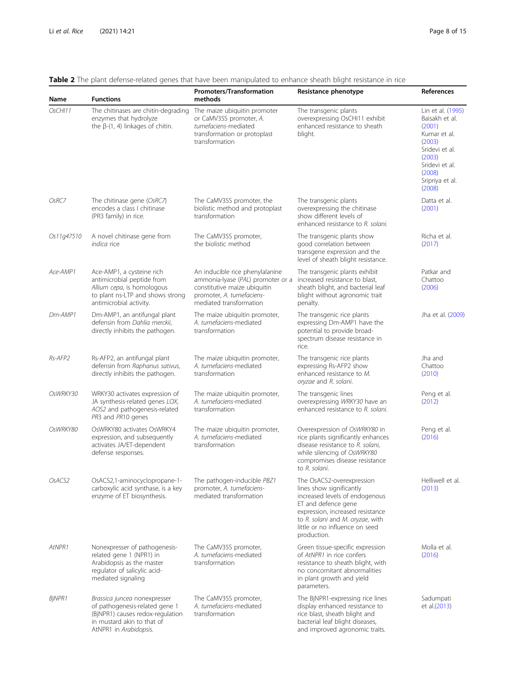| Name       | <b>Functions</b>                                                                                                                                           | Promoters/Transformation<br>methods                                                                                                                          | Resistance phenotype                                                                                                                                                                                                                    | References                                                                                                                                                   |
|------------|------------------------------------------------------------------------------------------------------------------------------------------------------------|--------------------------------------------------------------------------------------------------------------------------------------------------------------|-----------------------------------------------------------------------------------------------------------------------------------------------------------------------------------------------------------------------------------------|--------------------------------------------------------------------------------------------------------------------------------------------------------------|
| OsCHI11    | The chitinases are chitin-degrading<br>enzymes that hydrolyze<br>the $\beta$ -(1, 4) linkages of chitin.                                                   | The maize ubiquitin promoter<br>or CaMV35S promoter, A.<br>tumefaciens-mediated<br>transformation or protoplast<br>transformation                            | The transgenic plants<br>overexpressing OsCHI11 exhibit<br>enhanced resistance to sheath<br>blight.                                                                                                                                     | Lin et al. (1995)<br>Baisakh et al.<br>(2001)<br>Kumar et al.<br>(2003)<br>Sridevi et al.<br>(2003)<br>Sridevi et al.<br>(2008)<br>Sripriya et al.<br>(2008) |
| OsRC7      | The chitinase gene (OsRC7)<br>encodes a class I chitinase<br>(PR3 family) in rice.                                                                         | The CaMV35S promoter, the<br>biolistic method and protoplast<br>transformation                                                                               | The transgenic plants<br>overexpressing the chitinase<br>show different levels of<br>enhanced resistance to R. solani.                                                                                                                  | Datta et al.<br>(2001)                                                                                                                                       |
| Os11g47510 | A novel chitinase gene from<br>indica rice                                                                                                                 | The CaMV35S promoter,<br>the biolistic method                                                                                                                | The transgenic plants show<br>good correlation between<br>transgene expression and the<br>level of sheath blight resistance.                                                                                                            | Richa et al.<br>(2017)                                                                                                                                       |
| Ace-AMP1   | Ace-AMP1, a cysteine rich<br>antimicrobial peptide from<br>Allium cepa, is homologous<br>to plant ns-LTP and shows strong<br>antimicrobial activity.       | An inducible rice phenylalanine<br>ammonia-lyase (PAL) promoter or a<br>constitutive maize ubiquitin<br>promoter, A. tumefaciens-<br>mediated transformation | The transgenic plants exhibit<br>increased resistance to blast,<br>sheath blight, and bacterial leaf<br>blight without agronomic trait<br>penalty.                                                                                      | Patkar and<br>Chattoo<br>(2006)                                                                                                                              |
| Dm-AMP1    | Dm-AMP1, an antifungal plant<br>defensin from Dahlia merckii.<br>directly inhibits the pathogen.                                                           | The maize ubiquitin promoter,<br>A. tumefaciens-mediated<br>transformation                                                                                   | The transgenic rice plants<br>expressing Dm-AMP1 have the<br>potential to provide broad-<br>spectrum disease resistance in<br>rice.                                                                                                     | Jha et al. (2009)                                                                                                                                            |
| Rs-AFP2    | Rs-AFP2, an antifungal plant<br>defensin from Raphanus sativus,<br>directly inhibits the pathogen.                                                         | The maize ubiquitin promoter,<br>A. tumefaciens-mediated<br>transformation                                                                                   | The transgenic rice plants<br>expressing Rs-AFP2 show<br>enhanced resistance to M.<br>oryzae and R. solani.                                                                                                                             | Jha and<br>Chattoo<br>(2010)                                                                                                                                 |
| OsWRKY30   | WRKY30 activates expression of<br>JA synthesis-related genes LOX,<br>AOS2 and pathogenesis-related<br>PR3 and PR10 genes                                   | The maize ubiquitin promoter,<br>A. tumefaciens-mediated<br>transformation                                                                                   | The transgenic lines<br>overexpressing WRKY30 have an<br>enhanced resistance to R. solani.                                                                                                                                              | Peng et al.<br>(2012)                                                                                                                                        |
| OsWRKY80   | OsWRKY80 activates OsWRKY4<br>expression, and subsequently<br>activates JA/ET-dependent<br>defense responses.                                              | The maize ubiquitin promoter,<br>A. tumefaciens-mediated<br>transformation                                                                                   | Overexpression of OsWRKY80 in<br>rice plants significantly enhances<br>disease resistance to R. solani,<br>while silencing of OsWRKY80<br>compromises disease resistance<br>to R. solani.                                               | Peng et al.<br>(2016)                                                                                                                                        |
| OsACS2     | OsACS2,1-aminocyclopropane-1-<br>carboxylic acid synthase, is a key<br>enzyme of ET biosynthesis.                                                          | The pathogen-inducible PBZ1<br>promoter, A. tumefaciens-<br>mediated transformation                                                                          | The OsACS2-overexpression<br>lines show significantly<br>increased levels of endogenous<br>ET and defence gene<br>expression, increased resistance<br>to R. solani and M. oryzae, with<br>little or no influence on seed<br>production. | Helliwell et al.<br>(2013)                                                                                                                                   |
| AtNPR1     | Nonexpresser of pathogenesis-<br>related gene 1 (NPR1) in<br>Arabidopsis as the master<br>regulator of salicylic acid-<br>mediated signaling               | The CaMV35S promoter,<br>A. tumefaciens-mediated<br>transformation                                                                                           | Green tissue-specific expression<br>of AtNPR1 in rice confers<br>resistance to sheath blight, with<br>no concomitant abnormalities<br>in plant growth and yield<br>parameters.                                                          | Molla et al.<br>(2016)                                                                                                                                       |
| BjNPR1     | Brassica juncea nonexpresser<br>of pathogenesis-related gene 1<br>(BjNPR1) causes redox-regulation<br>in mustard akin to that of<br>AtNPR1 in Arabidopsis. | The CaMV35S promoter,<br>A. tumefaciens-mediated<br>transformation                                                                                           | The BjNPR1-expressing rice lines<br>display enhanced resistance to<br>rice blast, sheath blight and<br>bacterial leaf blight diseases,<br>and improved agronomic traits.                                                                | Sadumpati<br>et al.(2013)                                                                                                                                    |

# <span id="page-7-0"></span>Table 2 The plant defense-related genes that have been manipulated to enhance sheath blight resistance in rice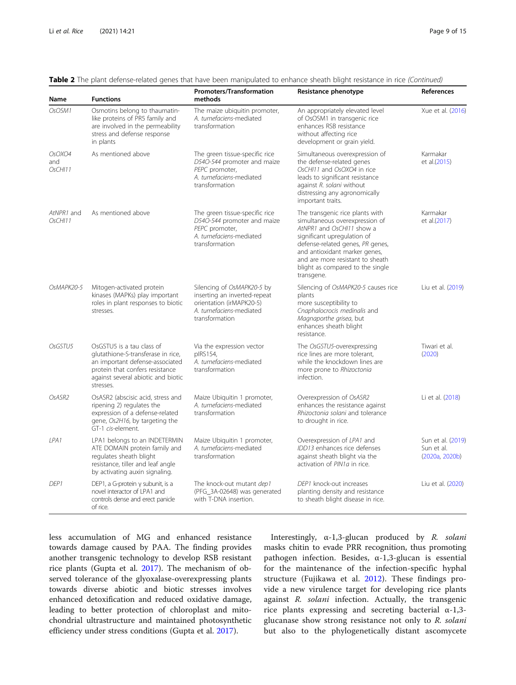| Name                     | <b>Functions</b>                                                                                                                                                                         | <b>Promoters/Transformation</b><br>methods                                                                                          | Resistance phenotype                                                                                                                                                                                                                                                                     | <b>References</b>                                 |
|--------------------------|------------------------------------------------------------------------------------------------------------------------------------------------------------------------------------------|-------------------------------------------------------------------------------------------------------------------------------------|------------------------------------------------------------------------------------------------------------------------------------------------------------------------------------------------------------------------------------------------------------------------------------------|---------------------------------------------------|
| OsOSM1                   | Osmotins belong to thaumatin-<br>like proteins of PR5 family and<br>are involved in the permeability<br>stress and defense response<br>in plants                                         | The maize ubiquitin promoter,<br>A. tumefaciens-mediated<br>transformation                                                          | An appropriately elevated level<br>of OsOSM1 in transgenic rice<br>enhances RSB resistance<br>without affecting rice<br>development or grain yield.                                                                                                                                      | Xue et al. (2016)                                 |
| OsOXO4<br>and<br>OsCHI11 | As mentioned above                                                                                                                                                                       | The green tissue-specific rice<br>D54O-544 promoter and maize<br>PEPC promoter,<br>A. tumefaciens-mediated<br>transformation        | Simultaneous overexpression of<br>the defense-related genes<br>OsCHI11 and OsOXO4 in rice<br>leads to significant resistance<br>against R. solani without<br>distressing any agronomically<br>important traits.                                                                          | Karmakar<br>et al.(2015)                          |
| AtNPR1 and<br>OsCHI11    | As mentioned above                                                                                                                                                                       | The green tissue-specific rice<br>D54O-544 promoter and maize<br>PEPC promoter,<br>A. tumefaciens-mediated<br>transformation        | The transgenic rice plants with<br>simultaneous overexpression of<br>AtNPR1 and OsCHI11 show a<br>significant upregulation of<br>defense-related genes, PR genes,<br>and antioxidant marker genes,<br>and are more resistant to sheath<br>blight as compared to the single<br>transgene. | Karmakar<br>et al.(2017)                          |
| OsMAPK20-5               | Mitogen-activated protein<br>kinases (MAPKs) play important<br>roles in plant responses to biotic<br>stresses.                                                                           | Silencing of OsMAPK20-5 by<br>inserting an inverted-repeat<br>orientation (irMAPK20-5)<br>A. tumefaciens-mediated<br>transformation | Silencing of OsMAPK20-5 causes rice<br>plants<br>more susceptibility to<br>Cnaphalocrocis medinalis and<br>Magnaporthe grisea, but<br>enhances sheath blight<br>resistance.                                                                                                              | Liu et al. (2019)                                 |
| OsGSTU5                  | OsGSTU5 is a tau class of<br>glutathione-S-transferase in rice,<br>an important defense-associated<br>protein that confers resistance<br>against several abiotic and biotic<br>stresses. | Via the expression vector<br>pIRS154,<br>A. tumefaciens-mediated<br>transformation                                                  | The OsGSTU5-overexpressing<br>rice lines are more tolerant,<br>while the knockdown lines are<br>more prone to Rhizoctonia<br>infection.                                                                                                                                                  | Tiwari et al.<br>(2020)                           |
| OsASR2                   | OsASR2 (abscisic acid, stress and<br>ripening 2) regulates the<br>expression of a defense-related<br>gene, Os2H16, by targeting the<br>GT-1 cis-element.                                 | Maize Ubiquitin 1 promoter,<br>A. tumefaciens-mediated<br>transformation                                                            | Overexpression of OsASR2<br>enhances the resistance against<br>Rhizoctonia solani and tolerance<br>to drought in rice.                                                                                                                                                                   | Li et al. (2018)                                  |
| IPA1                     | LPA1 belongs to an INDETERMIN<br>ATE DOMAIN protein family and<br>regulates sheath blight<br>resistance, tiller and leaf angle<br>by activating auxin signaling.                         | Maize Ubiquitin 1 promoter,<br>A. tumefaciens-mediated<br>transformation                                                            | Overexpression of LPA1 and<br>IDD13 enhances rice defenses<br>against sheath blight via the<br>activation of PIN1a in rice.                                                                                                                                                              | Sun et al. (2019)<br>Sun et al.<br>(2020a, 2020b) |
| DEP <sub>1</sub>         | DEP1, a G-protein $y$ subunit, is a<br>novel interactor of LPA1 and<br>controls dense and erect panicle<br>of rice.                                                                      | The knock-out mutant dep1<br>(PFG 3A-02648) was generated<br>with T-DNA insertion.                                                  | DEP1 knock-out increases<br>planting density and resistance<br>to sheath blight disease in rice.                                                                                                                                                                                         | Liu et al. (2020)                                 |

Table 2 The plant defense-related genes that have been manipulated to enhance sheath blight resistance in rice (Continued)

less accumulation of MG and enhanced resistance towards damage caused by PAA. The finding provides another transgenic technology to develop RSB resistant rice plants (Gupta et al. [2017](#page-11-0)). The mechanism of observed tolerance of the glyoxalase-overexpressing plants towards diverse abiotic and biotic stresses involves enhanced detoxification and reduced oxidative damage, leading to better protection of chloroplast and mitochondrial ultrastructure and maintained photosynthetic efficiency under stress conditions (Gupta et al. [2017\)](#page-11-0).

Interestingly,  $\alpha$ -1,3-glucan produced by R. solani masks chitin to evade PRR recognition, thus promoting pathogen infection. Besides, α-1,3-glucan is essential for the maintenance of the infection-specific hyphal structure (Fujikawa et al. [2012](#page-11-0)). These findings provide a new virulence target for developing rice plants against R. solani infection. Actually, the transgenic rice plants expressing and secreting bacterial  $α-1,3$ glucanase show strong resistance not only to R. solani but also to the phylogenetically distant ascomycete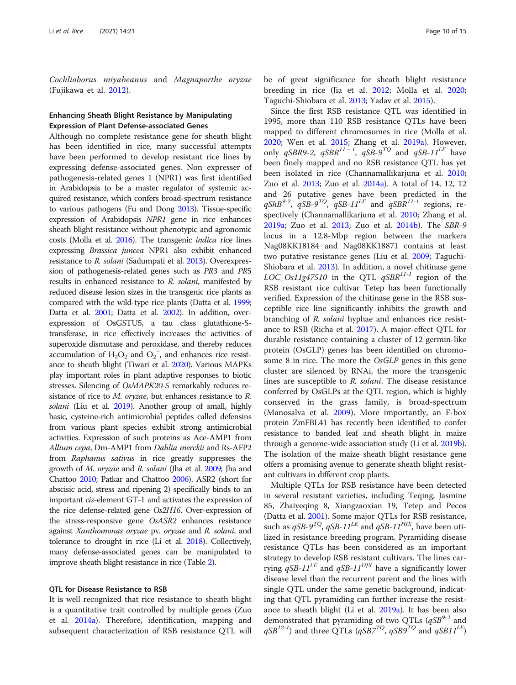Cochlioborus miyabeanus and Magnaporthe oryzae (Fujikawa et al. [2012\)](#page-11-0).

# Enhancing Sheath Blight Resistance by Manipulating Expression of Plant Defense-associated Genes

Although no complete resistance gene for sheath blight has been identified in rice, many successful attempts have been performed to develop resistant rice lines by expressing defense-associated genes. Non expresser of pathogenesis-related genes 1 (NPR1) was first identified in Arabidopsis to be a master regulator of systemic acquired resistance, which confers broad-spectrum resistance to various pathogens (Fu and Dong [2013](#page-11-0)). Tissue-specific expression of Arabidopsis NPR1 gene in rice enhances sheath blight resistance without phenotypic and agronomic costs (Molla et al. [2016\)](#page-12-0). The transgenic indica rice lines expressing Brassica juncea NPR1 also exhibit enhanced resistance to R. solani (Sadumpati et al. [2013](#page-12-0)). Overexpression of pathogenesis-related genes such as PR3 and PR5 results in enhanced resistance to R. solani, manifested by reduced disease lesion sizes in the transgenic rice plants as compared with the wild-type rice plants (Datta et al. [1999](#page-11-0); Datta et al. [2001](#page-11-0); Datta et al. [2002](#page-11-0)). In addition, overexpression of OsGSTU5, a tau class glutathione-Stransferase, in rice effectively increases the activities of superoxide dismutase and peroxidase, and thereby reduces accumulation of  $H_2O_2$  and  $O_2^-$ , and enhances rice resistance to sheath blight (Tiwari et al. [2020](#page-13-0)). Various MAPKs play important roles in plant adaptive responses to biotic stresses. Silencing of OsMAPK20-5 remarkably reduces resistance of rice to *M. oryzae*, but enhances resistance to *R*. solani (Liu et al. [2019](#page-12-0)). Another group of small, highly basic, cysteine-rich antimicrobial peptides called defensins from various plant species exhibit strong antimicrobial activities. Expression of such proteins as Ace-AMP1 from Allium cepa, Dm-AMP1 from Dahlia merckii and Rs-AFP2 from Raphanus sativus in rice greatly suppresses the growth of M. oryzae and R. solani (Jha et al. [2009](#page-11-0); Jha and Chattoo [2010;](#page-11-0) Patkar and Chattoo [2006\)](#page-12-0). ASR2 (short for abscisic acid, stress and ripening 2) specifically binds to an important cis-element GT-1 and activates the expression of the rice defense-related gene Os2H16. Over-expression of the stress-responsive gene OsASR2 enhances resistance against Xanthomonas oryzae pv. oryzae and R. solani, and tolerance to drought in rice (Li et al. [2018](#page-12-0)). Collectively, many defense-associated genes can be manipulated to improve sheath blight resistance in rice (Table [2\)](#page-7-0).

# QTL for Disease Resistance to RSB

It is well recognized that rice resistance to sheath blight is a quantitative trait controlled by multiple genes (Zuo et al. [2014a](#page-14-0)). Therefore, identification, mapping and subsequent characterization of RSB resistance QTL will be of great significance for sheath blight resistance breeding in rice (Jia et al. [2012;](#page-11-0) Molla et al. [2020](#page-12-0); Taguchi-Shiobara et al. [2013](#page-13-0); Yadav et al. [2015](#page-13-0)).

Since the first RSB resistance QTL was identified in 1995, more than 110 RSB resistance QTLs have been mapped to different chromosomes in rice (Molla et al. [2020](#page-12-0); Wen et al. [2015;](#page-13-0) Zhang et al. [2019a\)](#page-13-0). However, only qSBR9-2, qSBR<sup>11-1</sup>, qSB-9<sup>TQ</sup> and qSB-11<sup>LE</sup> have been finely mapped and no RSB resistance QTL has yet been isolated in rice (Channamallikarjuna et al. [2010](#page-10-0); Zuo et al. [2013;](#page-14-0) Zuo et al. [2014a\)](#page-14-0). A total of 14, 12, 12 and 26 putative genes have been predicted in the  $qShB^{9-2}$ ,  $qSB-9^{TQ}$ ,  $qSB-11^{LE}$  and  $qSBR^{11-1}$  regions, respectively (Channamallikarjuna et al. [2010;](#page-10-0) Zhang et al. [2019a;](#page-13-0) Zuo et al. [2013](#page-14-0); Zuo et al. [2014b\)](#page-14-0). The SBR-9 locus in a 12.8-Mbp region between the markers Nag08KK18184 and Nag08KK18871 contains at least two putative resistance genes (Liu et al. [2009;](#page-12-0) Taguchi-Shiobara et al. [2013\)](#page-13-0). In addition, a novel chitinase gene LOC\_Os11g47510 in the QTL  $qSBR^{11-1}$  region of the RSB resistant rice cultivar Tetep has been functionally verified. Expression of the chitinase gene in the RSB susceptible rice line significantly inhibits the growth and branching of R. solani hyphae and enhances rice resistance to RSB (Richa et al. [2017\)](#page-12-0). A major-effect QTL for durable resistance containing a cluster of 12 germin-like protein (OsGLP) genes has been identified on chromosome 8 in rice. The more the OsGLP genes in this gene cluster are silenced by RNAi, the more the transgenic lines are susceptible to R. solani. The disease resistance conferred by OsGLPs at the QTL region, which is highly conserved in the grass family, is broad-spectrum (Manosalva et al. [2009\)](#page-12-0). More importantly, an F-box protein ZmFBL41 has recently been identified to confer resistance to banded leaf and sheath blight in maize through a genome-wide association study (Li et al. [2019b](#page-12-0)). The isolation of the maize sheath blight resistance gene offers a promising avenue to generate sheath blight resistant cultivars in different crop plants.

Multiple QTLs for RSB resistance have been detected in several resistant varieties, including Teqing, Jasmine 85, Zhaiyeqing 8, Xiangzaoxian 19, Tetep and Pecos (Datta et al. [2001](#page-11-0)). Some major QTLs for RSB resistance, such as  $qSB-9^{TQ}$ ,  $qSB-11^{LE}$  and  $qSB-11^{HIX}$ , have been utilized in resistance breeding program. Pyramiding disease resistance QTLs has been considered as an important strategy to develop RSB resistant cultivars. The lines carrying  $qSB-11^{LE}$  and  $qSB-11^{HJX}$  have a significantly lower disease level than the recurrent parent and the lines with single QTL under the same genetic background, indicating that QTL pyramiding can further increase the resistance to sheath blight (Li et al. [2019a\)](#page-12-0). It has been also demonstrated that pyramiding of two QTLs  $(qSB^{9-2})$  and  $qSB^{12-l}$ ) and three QTLs  $(qSB7^{TQ}, qSB9^{TQ}$  and  $qSB11^{LE}$ )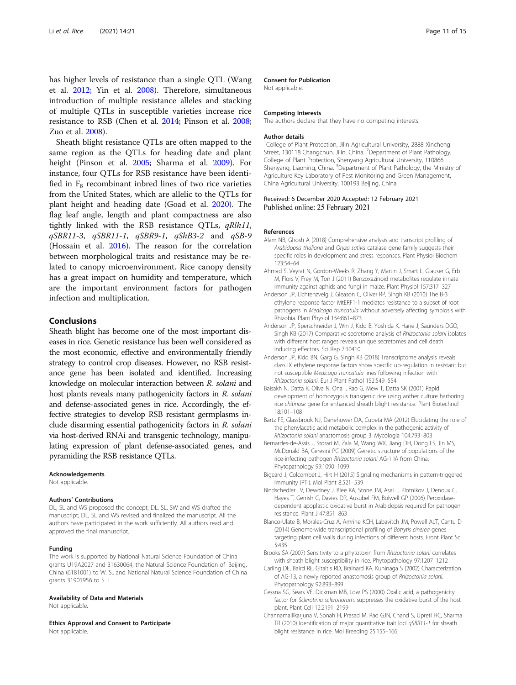<span id="page-10-0"></span>has higher levels of resistance than a single QTL (Wang et al. [2012;](#page-13-0) Yin et al. [2008\)](#page-13-0). Therefore, simultaneous introduction of multiple resistance alleles and stacking of multiple QTLs in susceptible varieties increase rice resistance to RSB (Chen et al. [2014;](#page-11-0) Pinson et al. [2008](#page-12-0); Zuo et al. [2008](#page-14-0)).

Sheath blight resistance QTLs are often mapped to the same region as the QTLs for heading date and plant height (Pinson et al. [2005;](#page-12-0) Sharma et al. [2009](#page-12-0)). For instance, four QTLs for RSB resistance have been identified in  $F_8$  recombinant inbred lines of two rice varieties from the United States, which are allelic to the QTLs for plant height and heading date (Goad et al. [2020](#page-11-0)). The flag leaf angle, length and plant compactness are also tightly linked with the RSB resistance QTLs, qRlh11, qSBR11-3, qSBR11-1, qSBR9-1, qShB3-2 and qSB-9 (Hossain et al. [2016](#page-11-0)). The reason for the correlation between morphological traits and resistance may be related to canopy microenvironment. Rice canopy density has a great impact on humidity and temperature, which are the important environment factors for pathogen infection and multiplication.

# Conclusions

Sheath blight has become one of the most important diseases in rice. Genetic resistance has been well considered as the most economic, effective and environmentally friendly strategy to control crop diseases. However, no RSB resistance gene has been isolated and identified. Increasing knowledge on molecular interaction between R. solani and host plants reveals many pathogenicity factors in R. solani and defense-associated genes in rice. Accordingly, the effective strategies to develop RSB resistant germplasms include disarming essential pathogenicity factors in R. solani via host-derived RNAi and transgenic technology, manipulating expression of plant defense-associated genes, and pyramiding the RSB resistance QTLs.

#### Acknowledgements

Not applicable.

### Authors' Contributions

DL, SL and WS proposed the concept; DL, SL, SW and WS drafted the manuscript; DL, SL and WS revised and finalized the manuscript. All the authors have participated in the work sufficiently. All authors read and approved the final manuscript.

#### Funding

The work is supported by National Natural Science Foundation of China grants U19A2027 and 31630064, the Natural Science Foundation of Beijing, China (6181001) to W. S., and National Natural Science Foundation of China grants 31901956 to S. L.

#### Availability of Data and Materials

Not applicable.

Ethics Approval and Consent to Participate

Not applicable.

#### Consent for Publication

Not applicable.

#### Competing Interests

The authors declare that they have no competing interests.

#### Author details

<sup>1</sup>College of Plant Protection, Jilin Agricultural University, 2888 Xincheng Street, 130118 Changchun, Jilin, China. <sup>2</sup>Department of Plant Pathology, College of Plant Protection, Shenyang Agricultural University, 110866 Shenyang, Liaoning, China. <sup>3</sup>Department of Plant Pathology, the Ministry of Agriculture Key Laboratory of Pest Monitoring and Green Management, China Agricultural University, 100193 Beijing, China.

## Received: 6 December 2020 Accepted: 12 February 2021 Published online: 25 February 2021

## References

- Alam NB, Ghosh A (2018) Comprehensive analysis and transcript profiling of Arabidopsis thaliana and Oryza sativa catalase gene family suggests their specific roles in development and stress responses. Plant Physiol Biochem 123:54–64
- Ahmad S, Veyrat N, Gordon-Weeks R, Zhang Y, Martin J, Smart L, Glauser G, Erb M, Flors V, Frey M, Ton J (2011) Benzoxazinoid metabolites regulate innate immunity against aphids and fungi in maize. Plant Physiol 157:317–327
- Anderson JP, Lichtenzveig J, Gleason C, Oliver RP, Singh KB (2010) The B-3 ethylene response factor MtERF1-1 mediates resistance to a subset of root pathogens in Medicago truncatula without adversely affecting symbiosis with Rhizobia. Plant Physiol 154:861–873
- Anderson JP, Sperschneider J, Win J, Kidd B, Yoshida K, Hane J, Saunders DGO, Singh KB (2017) Comparative secretome analysis of Rhizoctonia solani isolates with different host ranges reveals unique secretomes and cell death inducing effectors. Sci Rep 7:10410
- Anderson JP, Kidd BN, Garg G, Singh KB (2018) Transcriptome analysis reveals class IX ethylene response factors show specific up-regulation in resistant but not susceptible Medicago truncatula lines following infection with Rhizoctonia solani. Eur J Plant Pathol 152:549–554
- Baisakh N, Datta K, Oliva N, Ona I, Rao G, Mew T, Datta SK (2001) Rapid development of homozygous transgenic rice using anther culture harboring rice chitinase gene for enhanced sheath blight resistance. Plant Biotechnol 18:101–108
- Bartz FE, Glassbrook NJ, Danehower DA, Cubeta MA (2012) Elucidating the role of the phenylacetic acid metabolic complex in the pathogenic activity of Rhizoctonia solani anastomosis group 3. Mycologia 104:793–803
- Bernardes-de-Assis J, Storari M, Zala M, Wang WX, Jiang DH, Dong LS, Jin MS, McDonald BA, Ceresini PC (2009) Genetic structure of populations of the rice-infecting pathogen Rhizoctonia solani AG-1 IA from China. Phytopathology 99:1090–1099
- Bigeard J, Colcombet J, Hirt H (2015) Signaling mechanisms in pattern-triggered immunity (PTI). Mol Plant 8:521–539
- Bindschedler LV, Dewdney J, Blee KA, Stone JM, Asai T, Plotnikov J, Denoux C, Hayes T, Gerrish C, Davies DR, Ausubel FM, Bolwell GP (2006) Peroxidasedependent apoplastic oxidative burst in Arabidopsis required for pathogen resistance. Plant J 47:851–863
- Blanco-Ulate B, Morales-Cruz A, Amrine KCH, Labavitch JM, Powell ALT, Cantu D (2014) Genome-wide transcriptional profiling of Botrytis cinerea genes targeting plant cell walls during infections of different hosts. Front Plant Sci 5:435
- Brooks SA (2007) Sensitivity to a phytotoxin from Rhizoctonia solani correlates with sheath blight susceptibility in rice. Phytopathology 97:1207–1212
- Carling DE, Baird RE, Gitaitis RD, Brainard KA, Kuninaga S (2002) Characterization of AG-13, a newly reported anastomosis group of Rhizoctonia solani. Phytopathology 92:893–899
- Cessna SG, Sears VE, Dickman MB, Low PS (2000) Oxalic acid, a pathogenicity factor for Sclerotinia sclerotiorum, suppresses the oxidative burst of the host plant. Plant Cell 12:2191–2199
- Channamallikarjuna V, Sonah H, Prasad M, Rao GJN, Chand S, Upreti HC, Sharma TR (2010) Identification of major quantitative trait loci qSBR11-1 for sheath blight resistance in rice. Mol Breeding 25:155–166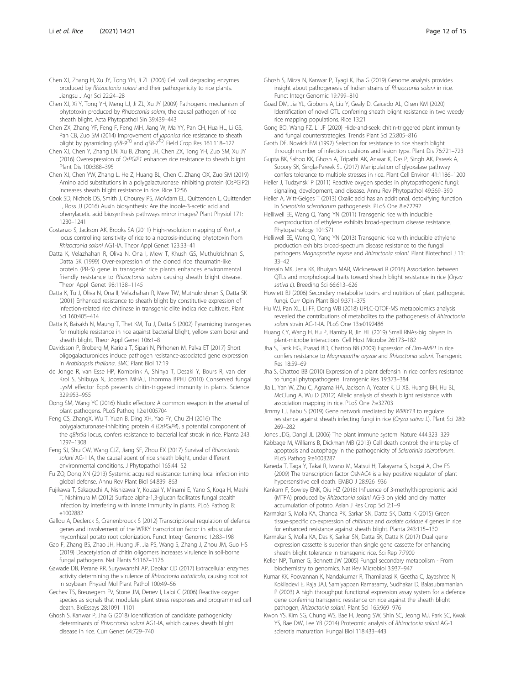<span id="page-11-0"></span>Chen XJ, Xi Y, Tong YH, Meng LJ, Ji ZL, Xu JY (2009) Pathogenic mechanism of phytotoxin produced by Rhizoctonia solani, the causal pathogen of rice sheath blight. Acta Phytopathol Sin 39:439–443

Chen ZX, Zhang YF, Feng F, Feng MH, Jiang W, Ma YY, Pan CH, Hua HL, Li GS, Pan CB, Zuo SM (2014) Improvement of *japonica* rice resistance to sheath blight by pyramiding  $qSB-9^{TQ}$  and  $qSB-7^{TQ}$ . Field Crop Res 161:118–127

Chen XJ, Chen Y, Zhang LN, Xu B, Zhang JH, Chen ZX, Tong YH, Zuo SM, Xu JY (2016) Overexpression of OsPGIP1 enhances rice resistance to sheath blight. Plant Dis 100:388–395

Chen XJ, Chen YW, Zhang L, He Z, Huang BL, Chen C, Zhang QX, Zuo SM (2019) Amino acid substitutions in a polygalacturonase inhibiting protein (OsPGIP2) increases sheath blight resistance in rice. Rice 12:56

Cook SD, Nichols DS, Smith J, Chourey PS, McAdam EL, Quittenden L, Quittenden L, Ross JJ (2016) Auxin biosynthesis: Are the indole-3-acetic acid and phenylacetic acid biosynthesis pathways mirror images? Plant Physiol 171: 1230–1241

Costanzo S, Jackson AK, Brooks SA (2011) High-resolution mapping of Rsn1, a locus controlling sensitivity of rice to a necrosis-inducing phytotoxin from Rhizoctonia solani AG1-IA. Theor Appl Genet 123:33–41

Datta K, Velazhahan R, Oliva N, Ona I, Mew T, Khush GS, Muthukrishnan S, Datta SK (1999) Over-expression of the cloned rice thaumatin-like protein (PR-5) gene in transgenic rice plants enhances environmental friendly resistance to Rhizoctonia solani causing sheath blight disease. Theor Appl Genet 98:1138–1145

Datta K, Tu J, Oliva N, Ona II, Velazhahan R, Mew TW, Muthukrishnan S, Datta SK (2001) Enhanced resistance to sheath blight by constitutive expression of infection-related rice chitinase in transgenic elite indica rice cultivars. Plant Sci 160:405–414

Datta K, Baisakh N, Maung T, Thet KM, Tu J, Datta S (2002) Pyramiding transgenes for multiple resistance in rice against bacterial blight, yellow stem borer and sheath blight. Theor Appl Genet 106:1–8

Davidsson P, Broberg M, Kariola T, Sipari N, Pirhonen M, Palva ET (2017) Short oligogalacturonides induce pathogen resistance-associated gene expression in Arabidopsis thaliana. BMC Plant Biol 17:19

de Jonge R, van Esse HP, Kombrink A, Shinya T, Desaki Y, Bours R, van der Krol S, Shibuya N, Joosten MHAJ, Thomma BPHJ (2010) Conserved fungal LysM effector Ecp6 prevents chitin-triggered immunity in plants. Science 329:953–955

Dong SM, Wang YC (2016) Nudix effectors: A common weapon in the arsenal of plant pathogens. PLoS Pathog 12:e1005704

Feng CS, ZhangX, Wu T, Yuan B, Ding XH, Yao FY, Chu ZH (2016) The polygalacturonase-inhibiting protein 4 (OsPGIP4), a potential component of the qBlsr5a locus, confers resistance to bacterial leaf streak in rice. Planta 243: 1297–1308

Feng SJ, Shu CW, Wang CJZ, Jiang SF, Zhou EX (2017) Survival of Rhizoctonia solani AG-1 IA, the causal agent of rice sheath blight, under different environmental conditions. J Phytopathol 165:44–52

Fu ZQ, Dong XN (2013) Systemic acquired resistance: turning local infection into global defense. Annu Rev Plant Biol 64:839–863

Fujikawa T, Sakaguchi A, Nishizawa Y, Kouzai Y, Minami E, Yano S, Koga H, Meshi T, Nishimura M (2012) Surface alpha-1,3-glucan facilitates fungal stealth infection by interfering with innate immunity in plants. PLoS Pathog 8: e1002882

Gallou A, Declerck S, Cranenbrouck S (2012) Transcriptional regulation of defence genes and involvement of the WRKY transcription factor in arbuscular mycorrhizal potato root colonization. Funct Integr Genomic 12:83–198

Gao F, Zhang BS, Zhao JH, Huang JF, Jia PS, Wang S, Zhang J, Zhou JM, Guo HS (2019) Deacetylation of chitin oligomers increases virulence in soil-borne fungal pathogens. Nat Plants 5:1167–1176

Gawade DB, Perane RR, Suryawanshi AP, Deokar CD (2017) Extracellular enzymes activity determining the virulence of Rhizoctonia bataticola, causing root rot in soybean. Physiol Mol Plant Pathol 100:49–56

Gechev TS, Breusegem FV, Stone JM, Denev I, Laloi C (2006) Reactive oxygen species as signals that modulate plant stress responses and programmed cell death. BioEssays 28:1091–1101

Ghosh S, Kanwar P, Jha G (2018) Identification of candidate pathogenicity determinants of Rhizoctonia solani AG1-IA, which causes sheath blight disease in rice. Curr Genet 64:729–740

Ghosh S, Mirza N, Kanwar P, Tyagi K, Jha G (2019) Genome analysis provides insight about pathogenesis of Indian strains of Rhizoctonia solani in rice. Funct Integr Genomic 19:799–810

Goad DM, Jia YL, Gibbons A, Liu Y, Gealy D, Caicedo AL, Olsen KM (2020) Identification of novel QTL conferring sheath blight resistance in two weedy rice mapping populations. Rice 13:21

Gong BQ, Wang FZ, Li JF (2020) Hide-and-seek: chitin-triggered plant immunity and fungal counterstrategies. Trends Plant Sci 25:805–816

Groth DE, Nowick EM (1992) Selection for resistance to rice sheath blight through number of infection cushions and lesion type. Plant Dis 76:721–723

Gupta BK, Sahoo KK, Ghosh A, Tripathi AK, Anwar K, Das P, Singh AK, Pareek A, Sopory SK, Singla-Pareek SL (2017) Manipulation of glyoxalase pathway confers tolerance to multiple stresses in rice. Plant Cell Environ 41:1186–1200

Heller J, Tudzynski P (2011) Reactive oxygen species in phytopathogenic fungi:

signaling, development, and disease. Annu Rev Phytopathol 49:369–390 Heller A, Witt-Geiges T (2013) Oxalic acid has an additional, detoxifying function in Sclerotinia sclerotiorum pathogenesis. PLoS One 8:e72292

Helliwell EE, Wang Q, Yang YN (2011) Transgenic rice with inducible overproduction of ethylene exhibits broad-spectrum disease resistance. Phytopathology 101:S71

Helliwell EE, Wang Q, Yang YN (2013) Transgenic rice with inducible ethylene production exhibits broad-spectrum disease resistance to the fungal pathogens Magnaporthe oryzae and Rhizoctonia solani. Plant Biotechnol J 11: 33–42

Hossain MK, Jena KK, Bhuiyan MAR, Wickneswari R (2016) Association between QTLs and morphological traits toward sheath blight resistance in rice (Oryza sativa L). Breeding Sci 66:613–626

Howlett BJ (2006) Secondary metabolite toxins and nutrition of plant pathogenic fungi. Curr Opin Plant Biol 9:371–375

Hu WJ, Pan XL, Li FF, Dong WB (2018) UPLC-QTOF-MS metabolomics analysis revealed the contributions of metabolites to the pathogenesis of Rhizoctonia solani strain AG-1-IA. PLoS One 13:e0192486

Huang CY, Wang H, Hu P, Hamby R, Jin HL (2019) Small RNAs-big players in plant-microbe interactions. Cell Host Microbe 26:173–182

Jha S, Tank HG, Prasad BD, Chattoo BB (2009) Expression of Dm-AMP1 in rice confers resistance to Magnaporthe oryzae and Rhizoctonia solani. Transgenic Res 18:59–69

Jha S, Chattoo BB (2010) Expression of a plant defensin in rice confers resistance to fungal phytopathogens. Transgenic Res 19:373–384

Jia L, Yan W, Zhu C, Agrama HA, Jackson A, Yeater K, Li XB, Huang BH, Hu BL, McClung A, Wu D (2012) Allelic analysis of sheath blight resistance with association mapping in rice. PLoS One 7:e32703

Jimmy LJ, Babu S (2019) Gene network mediated by WRKY13 to regulate resistance against sheath infecting fungi in rice (Oryza sativa L). Plant Sci 280: 269–282

Jones JDG, Dangl JL (2006) The plant immune system. Nature 444:323–329

Kabbage M, Williams B, Dickman MB (2013) Cell death control: the interplay of apoptosis and autophagy in the pathogenicity of Sclerotinia sclerotiorum. PLoS Pathog 9:e1003287

Kaneda T, Taga Y, Takai R, Iwano M, Matsui H, Takayama S, Isogai A, Che FS (2009) The transcription factor OsNAC4 is a key positive regulator of plant hypersensitive cell death. EMBO J 28:926–936

Kankam F, Sowley ENK, Qiu HZ (2018) Influence of 3-methylthiopropionic acid (MTPA) produced by Rhizoctonia solani AG-3 on yield and dry matter accumulation of potato. Asian J Res Crop Sci 2:1–9

Karmakar S, Molla KA, Chanda PK, Sarkar SN, Datta SK, Datta K (2015) Green tissue-specific co-expression of chitinase and oxalate oxidase 4 genes in rice for enhanced resistance against sheath blight. Planta 243:115–130

Karmakar S, Molla KA, Das K, Sarkar SN, Datta SK, Datta K (2017) Dual gene expression cassette is superior than single gene cassette for enhancing sheath blight tolerance in transgenic rice. Sci Rep 7:7900

Keller NP, Turner G, Bennett JW (2005) Fungal secondary metabolism - From biochemistry to genomics. Nat Rev Microbiol 3:937–947

Kumar KK, Poovannan K, Nandakumar R, Thamilarasi K, Geetha C, Jayashree N, Kokiladevi E, Raja JAJ, Samiyappan Ramasamy, Sudhakar D, Balasubramanian P (2003) A high throughput functional expression assay system for a defence gene conferring transgenic resistance on rice against the sheath blight pathogen, Rhizoctonia solani. Plant Sci 165:969–976

Kwon YS, Kim SG, Chung WS, Bae H, Jeong SW, Shin SC, Jeong MJ, Park SC, Kwak YS, Bae DW, Lee YB (2014) Proteomic analysis of Rhizoctonia solani AG-1 sclerotia maturation. Fungal Biol 118:433–443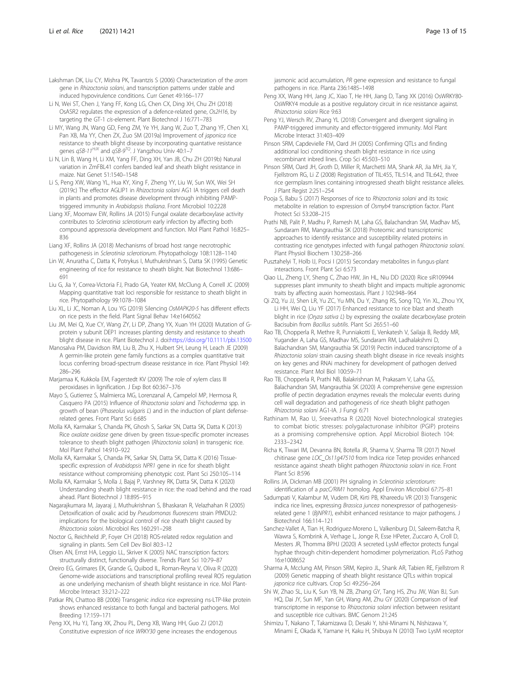- <span id="page-12-0"></span>Lakshman DK, Liu CY, Mishra PK, Tavantzis S (2006) Characterization of the arom gene in Rhizoctonia solani, and transcription patterns under stable and induced hypovirulence conditions. Curr Genet 49:166–177
- Li N, Wei ST, Chen J, Yang FF, Kong LG, Chen CX, Ding XH, Chu ZH (2018) OsASR2 regulates the expression of a defence-related gene, Os2H16, by targeting the GT-1 cis-element. Plant Biotechnol J 16:771–783
- Li MY, Wang JN, Wang GD, Feng ZM, Ye YH, Jiang W, Zuo T, Zhang YF, Chen XJ, Pan XB, Ma YY, Chen ZX, Zuo SM (2019a) Improvement of japonica rice resistance to sheath blight disease by incorporating quantative resistance genes  $qSB-11^{HJK}$  and  $qSB-9^{TQ}$ . J Yangzhou Univ 40:1-7
- Li N, Lin B, Wang H, Li XM, Yang FF, Ding XH, Yan JB, Chu ZH (2019b) Natural variation in ZmFBL41 confers banded leaf and sheath blight resistance in maize. Nat Genet 51:1540–1548
- Li S, Peng XW, Wang YL, Hua KY, Xing F, Zheng YY, Liu W, Sun WX, Wei SH (2019c) The effector AGLIP1 in Rhizoctonia solani AG1 IA triggers cell death in plants and promotes disease development through inhibiting PAMPtriggered immunity in Arabidopsis thaliana. Front Microbiol 10:2228
- Liang XF, Moomaw EW, Rollins JA (2015) Fungal oxalate decarboxylase activity contributes to Sclerotinia sclerotiorum early infection by affecting both compound appressoria development and function. Mol Plant Pathol 16:825– 836
- Liang XF, Rollins JA (2018) Mechanisms of broad host range necrotrophic pathogenesis in Sclerotinia sclerotiorum. Phytopathology 108:1128–1140
- Lin W, Anuratha C, Datta K, Potrykus I, Muthukrishnan S, Datta SK (1995) Genetic engineering of rice for resistance to sheath blight. Nat Biotechnol 13:686– 691
- Liu G, Jia Y, Correa-Victoria FJ, Prado GA, Yeater KM, McClung A, Correll JC (2009) Mapping quantitative trait loci responsible for resistance to sheath blight in rice. Phytopathology 99:1078–1084
- Liu XL, Li JC, Noman A, Lou YG (2019) Silencing OsMAPK20-5 has different effects on rice pests in the field. Plant Signal Behav 14:e1640562
- Liu JM, Mei Q, Xue CY, Wang ZY, Li DP, Zhang YX, Xuan YH (2020) Mutation of Gprotein γ subunit DEP1 increases planting density and resistance to sheath blight disease in rice. Plant Biotechnol J. doi:<https://doi.org/10.1111/pbi.13500>
- Manosalva PM, Davidson RM, Liu B, Zhu X, Hulbert SH, Leung H, Leach JE (2009) A germin-like protein gene family functions as a complex quantitative trait locus conferring broad-spectrum disease resistance in rice. Plant Physiol 149: 286–296
- Marjamaa K, Kukkola EM, Fagerstedt KV (2009) The role of xylem class III peroxidases in lignification. J Exp Bot 60:367–376
- Mayo S, Gutierrez S, Malmierca MG, Lorenzanal A, Campelol MP, Hermosa R, Casquero PA (2015) Influence of Rhizoctonia solani and Trichoderma spp. in growth of bean (Phaseolus vulgaris L) and in the induction of plant defenserelated genes. Front Plant Sci 6:685
- Molla KA, Karmakar S, Chanda PK, Ghosh S, Sarkar SN, Datta SK, Datta K (2013) Rice oxalate oxidase gene driven by green tissue-specific promoter increases tolerance to sheath blight pathogen (Rhizoctonia solani) in transgenic rice. Mol Plant Pathol 14:910–922
- Molla KA, Karmakar S, Chanda PK, Sarkar SN, Datta SK, Datta K (2016) Tissuespecific expression of Arabidopsis NPR1 gene in rice for sheath blight resistance without compromising phenotypic cost. Plant Sci 250:105–114
- Molla KA, Karmakar S, Molla J, Bajaj P, Varshney RK, Datta SK, Datta K (2020) Understanding sheath blight resistance in rice: the road behind and the road ahead. Plant Biotechnol J 18:895–915
- Nagarajkumara M, Jayaraj J, Muthukrishnan S, Bhaskaran R, Velazhahan R (2005) Detoxification of oxalic acid by Pseudomonas fluorescens strain PfMDU2: implications for the biological control of rice sheath blight caused by Rhizoctonia solani. Microbiol Res 160:291–298
- Noctor G, Reichheld JP, Foyer CH (2018) ROS-related redox regulation and signaling in plants. Sem Cell Dev Biol 80:3–12
- Olsen AN, Ernst HA, Leggio LL, Skriver K (2005) NAC transcription factors: structurally distinct, functionally diverse. Trends Plant Sci 10:79–87
- Oreiro EG, Grimares EK, Grande G, Quibod IL, Roman-Reyna V, Oliva R (2020) Genome-wide associations and transcriptional profiling reveal ROS regulation as one underlying mechanism of sheath blight resistance in rice. Mol Plant-Microbe Interact 33:212–222
- Patkar RN, Chattoo BB (2006) Transgenic indica rice expressing ns-LTP-like protein shows enhanced resistance to both fungal and bacterial pathogens. Mol Breeding 17:159–171
- Peng XX, Hu YJ, Tang XK, Zhou PL, Deng XB, Wang HH, Guo ZJ (2012) Constitutive expression of rice WRKY30 gene increases the endogenous

jasmonic acid accumulation, PR gene expression and resistance to fungal pathogens in rice. Planta 236:1485–1498

- Peng XX, Wang HH, Jang JC, Xiao T, He HH, Jiang D, Tang XK (2016) OsWRKY80- OsWRKY4 module as a positive regulatory circuit in rice resistance against. Rhizoctonia solani Rice 9:63
- Peng YJ, Wersch RV, Zhang YL (2018) Convergent and divergent signaling in PAMP-triggered immunity and effector-triggered immunity. Mol Plant Microbe Interact 31:403–409
- Pinson SRM, Capdevielle FM, Oard JH (2005) Confirming QTLs and finding additional loci conditioning sheath blight resistance in rice using recombinant inbred lines. Crop Sci 45:503–510
- Pinson SRM, Oard JH, Groth D, Miller R, Marchetti MA, Shank AR, Jia MH, Jia Y, Fjellstrom RG, Li Z (2008) Registration of TIL:455, TIL:514, and TIL:642, three rice germplasm lines containing introgressed sheath blight resistance alleles. J Plant Regist 2:251–254
- Pooja S, Babu S (2017) Responses of rice to Rhizoctonia solani and its toxic metabolite in relation to expression of Osmyb4 transcription factor. Plant Protect Sci 53:208–215
- Prathi NB, Palit P, Madhu P, Ramesh M, Laha GS, Balachandran SM, Madhav MS, Sundaram RM, Mangrauthia SK (2018) Proteomic and transcriptomic approaches to identify resistance and susceptibility related proteins in contrasting rice genotypes infected with fungal pathogen Rhizoctonia solani. Plant Physiol Biochem 130:258–266
- Pusztahelyi T, Holb IJ, Pocsi I (2015) Secondary metabolites in fungus-plant interactions. Front Plant Sci 6:573
- Qiao LL, Zheng LY, Sheng C, Zhao HW, Jin HL, Niu DD (2020) Rice siR109944 suppresses plant immunity to sheath blight and impacts multiple agronomic traits by affecting auxin homeostasis. Plant J 102:948–964
- Qi ZQ, Yu JJ, Shen LR, Yu ZC, Yu MN, Du Y, Zhang RS, Song TQ, Yin XL, Zhou YX, Li HH, Wei Q, Liu YF (2017) Enhanced resistance to rice blast and sheath blight in rice (Oryza sativa L) by expressing the oxalate decarboxylase protein Bacisubin from Bacillus subtilis. Plant Sci 265:51–60
- Rao TB, Chopperla R, Methre R, Punniakotti E, Venkatesh V, Sailaja B, Reddy MR, Yugander A, Laha GS, Madhav MS, Sundaram RM, Ladhalakshmi D, Balachandran SM, Mangrauthia SK (2019) Pectin induced transcriptome of a Rhizoctonia solani strain causing sheath blight disease in rice reveals insights on key genes and RNAi machinery for development of pathogen derived resistance. Plant Mol Biol 100:59–71
- Rao TB, Chopperla R, Prathi NB, Balakrishnan M, Prakasam V, Laha GS, Balachandran SM, Mangrauthia SK (2020) A comprehensive gene expression profile of pectin degradation enzymes reveals the molecular events during cell wall degradation and pathogenesis of rice sheath blight pathogen Rhizoctonia solani AG1-IA. J Fungi 6:71
- Rathinam M, Rao U, Sreevathsa R (2020) Novel biotechnological strategies to combat biotic stresses: polygalacturonase inhibitor (PGIP) proteins as a promising comprehensive option. Appl Microbiol Biotech 104: 2333–2342
- Richa K, Tiwari IM, Devanna BN, Botella JR, Sharma V, Sharma TR (2017) Novel chitinase gene LOC\_Os11g47510 from Indica rice Tetep provides enhanced resistance against sheath blight pathogen Rhizoctonia solani in rice. Front Plant Sci 8:596
- Rollins JA, Dickman MB (2001) PH signaling in Sclerotinia sclerotiorum: identification of a pacC/RIM1 homolog. Appl Environ Microbiol 67:75–81
- Sadumpati V, Kalambur M, Vudem DR, Kirti PB, Khareedu VR (2013) Transgenic indica rice lines, expressing Brassica juncea nonexpressor of pathogenesisrelated gene 1 (BjNPR1), exhibit enhanced resistance to major pathogens. J Biotechnol 166:114–121
- Sanchez-Vallet A, Tian H, Rodriguez-Moreno L, Valkenburg DJ, Saleem-Batcha R, Wawra S, Kombrink A, Verhage L, Jonge R, Esse HPeter, Zuccaro A, Croll D, Mesters JR, Thomma BPHJ (2020) A secreted LysM effector protects fungal hyphae through chitin-dependent homodimer polymerization. PLoS Pathog 16:e1008652
- Sharma A, Mcclung AM, Pinson SRM, Kepiro JL, Shank AR, Tabien RE, Fjellstrom R (2009) Genetic mapping of sheath blight resistance QTLs within tropical japonica rice cultivars. Crop Sci 49:256–264
- Shi W, Zhao SL, Liu K, Sun YB, Ni ZB, Zhang GY, Tang HS, Zhu JW, Wan BJ, Sun HQ, Dai JY, Sun MF, Yan GH, Wang AM, Zhu GY (2020) Comparison of leaf transcriptome in response to Rhizoctonia solani infection between resistant and susceptible rice cultivars. BMC Genom 21:245
- Shimizu T, Nakano T, Takamizawa D, Desaki Y, Ishii-Minami N, Nishizawa Y, Minami E, Okada K, Yamane H, Kaku H, Shibuya N (2010) Two LysM receptor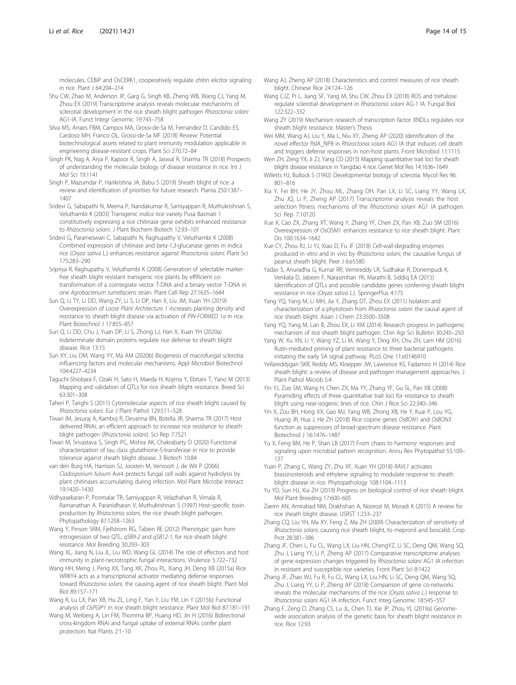<span id="page-13-0"></span>molecules, CEBiP and OsCERK1, cooperatively regulate chitin elicitor signaling in rice. Plant J 64:204–214

- Shu CW, Zhao M, Anderson JP, Garg G, Singh KB, Zheng WB, Wang CJ, Yang M, Zhou EX (2019) Transcriptome analysis reveals molecular mechanisms of sclerotial development in the rice sheath blight pathogen Rhizoctonia solani AG1-IA. Funct Integr Genomic 19:743–758
- Silva MS, Arraes FBM, Campos MA, Grossi-de-Sa M, Fernandez D, Candido ES, Cardoso MH, Franco OL, Grossi-de-Sa MF (2018) Review: Potential biotechnological assets related to plant immunity modulation applicable in engineering disease-resistant crops. Plant Sci 270:72–84
- Singh PK, Nag A, Arya P, Kapoor R, Singh A, Jaswal R, Sharma TR (2018) Prospects of understanding the molecular biology of disease resistance in rice. Int J Mol Sci 19:1141
- Singh P, Mazumdar P, Harikrishna JA, Babu S (2019) Sheath blight of rice: a review and identification of priorities for future research. Planta 250:1387– 1407
- Sridevi G, Sabapathi N, Meena P, Nandakumar R, Samiyappan R, Muthukrishnan S, Veluthambi K (2003) Transgenic indica rice variety Pusa Basmati 1 constitutively expressing a rice chitinase gene exhibits enhanced resistance to Rhizoctonia solani. J Plant Biochem Biotech 12:93–101
- Sridevi G, Parameswari C, Sabapathi N, Raghupathy V, Veluthambi K (2008) Combined expression of chitinase and beta-1,3-glucanase genes in indica rice (Oryza sativa L.) enhances resistance against Rhizoctonia solani. Plant Sci 175:283–290
- Sripriya R, Raghupathy V, Veluthambi K (2008) Generation of selectable markerfree sheath blight resistant transgenic rice plants by effificient cotransformation of a cointegrate vector T-DNA and a binary vector T-DNA in one Agrobacterium tumefaciens strain. Plant Cell Rep 27:1635–1644
- Sun Q, Li TY, Li DD, Wang ZY, Li S, Li DP, Han X, Liu JM, Xuan YH (2019) Overexpression of Loose Plant Architecture 1 increases planting density and resistance to sheath blight disease via activation of PIN-FORMED 1a in rice. Plant Biotechnol J 17:855–857
- Sun Q, Li DD, Chu J, Yuan DP, Li S, Zhong LJ, Han X, Xuan YH (2020a) Indeterminate domain proteins regulate rice defense to sheath blight disease. Rice 13:15
- Sun XY, Liu DM, Wang YY, Ma AM (2020b) Biogenesis of macrofungal sclerotia: influencing factors and molecular mechanisms. Appl Microbiol Biotechnol 104:4227–4234
- Taguchi-Shiobara F, Ozaki H, Sato H, Maeda H, Kojima Y, Ebitani T, Yano M (2013) Mapping and validation of QTLs for rice sheath blight resistance. Breed Sci 63:301–308
- Taheri P, Tarighi S (2011) Cytomolecular aspects of rice sheath blight caused by Rhizoctonia solani. Eur J Plant Pathol 129:511–528
- Tiwari IM, Jesuraj A, Kamboj R, Devanna BN, Botella JR, Sharma TR (2017) Host delivered RNAi, an efficient approach to increase rice resistance to sheath blight pathogen (Rhizoctonia solani). Sci Rep 7:7521
- Tiwari M, Srivastava S, Singh PC, Mishra AK, Chakrabarty D (2020) Functional characterization of tau class glutathione-S-transferase in rice to provide tolerance against sheath blight disease. 3 Biotech 10:84
- van den Burg HA, Harrison SJ, Joosten M, Vervoort J, de Wit P (2006) Cladosporium fulvum Avr4 protects fungal cell walls against hydrolysis by plant chitinases accumulating during infection. Mol Plant Microbe Interact 19:1420–1430
- Vidhyasekaran P, Ponmalar TR, Samiyappan R, Velazhahan R, Vimala R, Ramanathan A, Paranidharan V, Muthukrishnan S (1997) Host-specific toxin production by Rhizoctonia solani, the rice sheath blight pathogen. Phytopathology 87:1258–1263
- Wang Y, Pinson SRM, Fjellstrom RG, Tabien RE (2012) Phenotypic gain from introgression of two QTL, qSB9-2 and qSB12-1, for rice sheath blight resistance. Mol Breeding 30:293–303
- Wang XL, Jiang N, Liu JL, Liu WD, Wang GL (2014) The role of effectors and host immunity in plant-necrotrophic fungal interactions. Virulence 5:722–732
- Wang HH, Meng J, Peng XX, Tang XK, Zhou PL, Xiang JH, Deng XB (2015a) Rice WRKY4 acts as a transcriptional activator mediating defense responses toward Rhizoctonia solani, the causing agent of rice sheath blight. Plant Mol Biol 89:157–171
- Wang R, Lu LX, Pan XB, Hu ZL, Ling F, Yan Y, Liu YM, Lin Y (2015b) Functional analysis of OsPGIP1 in rice sheath blight resistance. Plant Mol Biol 87:181–191
- Wang M, Weiberg A, Lin FM, Thomma BP, Huang HD, Jin H (2016) Bidirectional cross-kingdom RNAi and fungal uptake of external RNAs confer plant protection. Nat Plants 2:1–10
- Wang AJ, Zheng AP (2018) Characteristics and control measures of rice sheath blight. Chinese Rice 24:124–126
- Wang CJZ, Pi L, Jiang SF, Yang M, Shu CW, Zhou EX (2018) ROS and trehalose regulate sclerotial development in Rhizoctonia solani AG-1 IA. Fungal Biol 122:322–332
- Wang ZY (2019) Mechanism research of transcription factor XNDLs regulates rice sheath blight resistance. Master's Thesis
- Wei MM, Wang AJ, Liu Y, Ma L, Niu XY, Zheng AP (2020) Identification of the novel effector RsIA\_NP8 in Rhizoctonia solani AG1 IA that induces cell death and triggers defense responses in non-host plants. Front Microbiol 11:1115
- Wen ZH, Zeng YX, Ji ZJ, Yang CD (2015) Mapping quantitative trait loci for sheath blight disease resistance in Yangdao 4 rice. Genet Mol Res 14:1636–1649
- Willetts HJ, Bullock S (1992) Developmental biology of sclerotia. Mycol Res 96: 801–816
- Xia Y, Fei BH, He JY, Zhou ML, Zhang DH, Pan LX, Li SC, Liang YY, Wang LX, Zhu JQ, Li P, Zheng AP (2017) Transcriptome analysis reveals the host selection fitness mechanisms of the Rhizoctonia solani AG1 IA pathogen. Sci Rep 7:10120
- Xue X, Cao ZX, Zhang XT, Wang Y, Zhang YF, Chen ZX, Pan XB, Zuo SM (2016) Overexpression of OsOSM1 enhances resistance to rice sheath blight. Plant Dis 100:1634–1642
- Xue CY, Zhou RJ, Li YJ, Xiao D, Fu JF (2018) Cell-wall-degrading enzymes produced in vitro and in vivo by Rhizoctonia solani, the causative fungus of peanut sheath blight. Peer J 6:e5580
- Yadav S, Anuradha G, Kumar RR, Vemireddy LR, Sudhakar R, Donempudi K, Venkata D, Jabeen F, Narasimhan YK, Marathi B, Siddiq EA (2015) Identification of QTLs and possible candidate genes conferring sheath blight resistance in rice (Oryza sativa L.). SpringerPlus 4:175
- Yang YQ, Yang M, Li MH, Jia Y, Zhang DT, Zhou EX (2011) Isolation and characterization of a phytotoxin from Rhizoctonia solani: the causal agent of rice sheath blight. Asian J Chem 23:3500–3508
- Yang YQ, Yang M, Lan B, Zhou EX, Li XM (2014) Research progress in pathogenic mechanism of rice sheath blight pathogen. Chin Agr Sci Bulletin 30:245–250
- Yang W, Xu XN, Li Y, Wang YZ, Li M, Wang Y, Ding XH, Chu ZH, Lam HM (2016) Rutin-mediated priming of plant resistance to three bacterial pathogens initiating the early SA signal pathway. PLoS One 11:e0146910
- Yellareddygari SKR, Reddy MS, Kloepper JW, Lawrence KS, Fadamiro H (2014) Rice sheath blight: a review of disease and pathogen management approaches. J Plant Pathol Microb 5:4
- Yin YJ, Zuo SM, Wang H, Chen ZX, Ma YY, Zhang YF, Gu SL, Pan XB (2008) Pyramiding effects of three quantitative trait loci for resistance to sheath blight using near-isogenic lines of rice. Chin J Rice Sci 22:340–346
- Yin X, Zou BH, Hong XX, Gao MJ, Yang WB, Zhong XB, He Y, Kuai P, Lou YG, Huang JR, Hua J, He ZH (2018) Rice copine genes OsBON1 and OsBON3 function as suppressors of broad-spectrum disease resistance. Plant Biotechnol J 16:1476–1487
- Yu X, Feng BM, He P, Shan LB (2017) From chaos to harmony: responses and signaling upon microbial pattern recognition. Annu Rev Phytopathol 55:109– 137
- Yuan P, Zhang C, Wang ZY, Zhu XF, Xuan YH (2018) RAVL1 activates brassinosteroids and ethylene signaling to modulate response to sheath blight disease in rice. Phytopathology 108:1104–1113
- Yu YD, Sun HJ, Xia ZH (2019) Progress on biological control of rice sheath blight. Mol Plant Breeding 17:600–605
- Zaeim AN, Amirabad NM, Drakhshan A, Noorozi M, Moradi K (2015) A review for rice sheath blight disease. IJSRST 1:233–237
- Zhang CQ, Liu YH, Ma XY, Feng Z, Ma ZH (2009) Characterization of sensitivity of Rhizoctonia solani, causing rice sheath blight, to mepronil and boscalid. Crop Prot 28:381–386
- Zhang JF, Chen L, Fu CL, Wang LX, Liu HN, ChengYZ, Li SC, Deng QM, Wang SQ, Zhu J, Liang YY, Li P, Zheng AP (2017) Comparative transcriptome analyses of gene expression changes triggered by Rhizoctonia solani AG1 IA infection in resistant and susceptible rice varieties. Front Plant Sci 8:1422
- Zhang JF, Zhao WJ, Fu R, Fu CL, Wang LX, Liu HN, Li SC, Deng QM, Wang SQ, Zhu J, Liang YY, Li P, Zheng AP (2018) Comparison of gene co-networks reveals the molecular mechanisms of the rice (Oryza sativa L.) response to Rhizoctonia solani AG1 IA infection. Funct Integ Genomic 18:545–557
- Zhang F, Zeng D, Zhang CS, Lu JL, Chen TJ, Xie JP, Zhou YL (2019a) Genomewide association analysis of the genetic basis for sheath blight resistance in rice. Rice 12:93